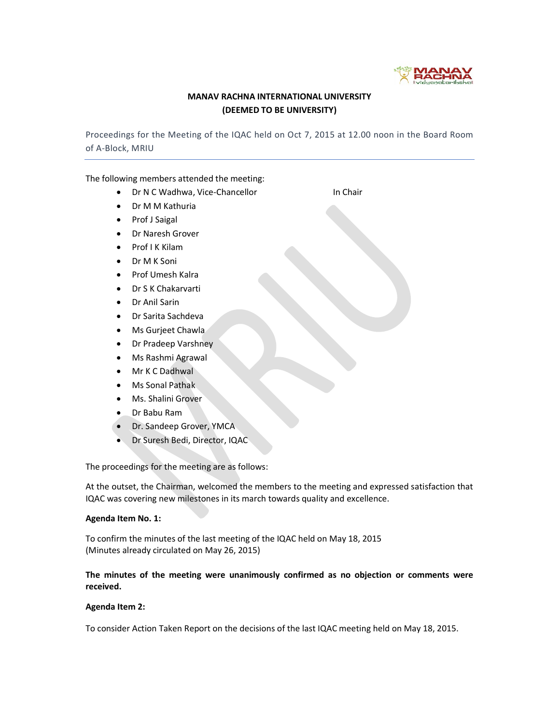

## MANAV RACHNA INTERNATIONAL UNIVERSITY (DEEMED TO BE UNIVERSITY)

Proceedings for the Meeting of the IQAC held on Oct 7, 2015 at 12.00 noon in the Board Room of A-Block, MRIU

The following members attended the meeting:

- Dr N C Wadhwa, Vice-Chancellor In Chair
- Dr M M Kathuria
- Prof J Saigal
- Dr Naresh Grover
- Prof I K Kilam
- Dr M K Soni
- Prof Umesh Kalra
- Dr S K Chakarvarti
- Dr Anil Sarin
- Dr Sarita Sachdeva
- Ms Gurjeet Chawla
- Dr Pradeep Varshney
- Ms Rashmi Agrawal
- Mr K C Dadhwal
- Ms Sonal Pathak
- Ms. Shalini Grover
- Dr Babu Ram
- Dr. Sandeep Grover, YMCA
- Dr Suresh Bedi, Director, IQAC

The proceedings for the meeting are as follows:

At the outset, the Chairman, welcomed the members to the meeting and expressed satisfaction that IQAC was covering new milestones in its march towards quality and excellence.

## Agenda Item No. 1:

To confirm the minutes of the last meeting of the IQAC held on May 18, 2015 (Minutes already circulated on May 26, 2015)

## The minutes of the meeting were unanimously confirmed as no objection or comments were received.

## Agenda Item 2:

To consider Action Taken Report on the decisions of the last IQAC meeting held on May 18, 2015.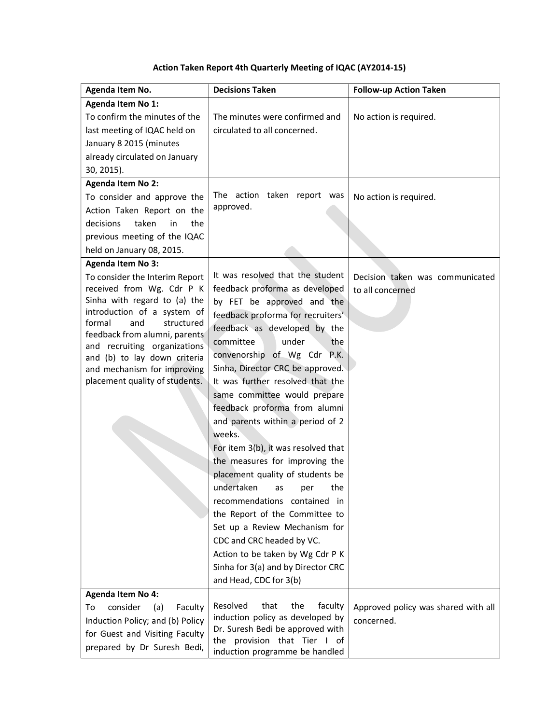# Action Taken Report 4th Quarterly Meeting of IQAC (AY2014-15)

| Agenda Item No.                                               | <b>Decisions Taken</b>                                           | <b>Follow-up Action Taken</b>       |
|---------------------------------------------------------------|------------------------------------------------------------------|-------------------------------------|
| Agenda Item No 1:                                             |                                                                  |                                     |
| To confirm the minutes of the                                 | The minutes were confirmed and                                   | No action is required.              |
| last meeting of IQAC held on                                  | circulated to all concerned.                                     |                                     |
| January 8 2015 (minutes                                       |                                                                  |                                     |
| already circulated on January                                 |                                                                  |                                     |
| 30, 2015).                                                    |                                                                  |                                     |
| <b>Agenda Item No 2:</b>                                      |                                                                  |                                     |
| To consider and approve the                                   | The action taken report was                                      | No action is required.              |
| Action Taken Report on the                                    | approved.                                                        |                                     |
| decisions<br>taken<br>in<br>the                               |                                                                  |                                     |
| previous meeting of the IQAC                                  |                                                                  |                                     |
| held on January 08, 2015.                                     |                                                                  |                                     |
| <b>Agenda Item No 3:</b>                                      |                                                                  |                                     |
| To consider the Interim Report                                | It was resolved that the student                                 | Decision taken was communicated     |
| received from Wg. Cdr P K                                     | feedback proforma as developed                                   | to all concerned                    |
| Sinha with regard to (a) the                                  | by FET be approved and the                                       |                                     |
| introduction of a system of                                   | feedback proforma for recruiters'                                |                                     |
| formal<br>and<br>structured                                   | feedback as developed by the                                     |                                     |
| feedback from alumni, parents<br>and recruiting organizations | under<br>committee<br>the                                        |                                     |
| and (b) to lay down criteria                                  | convenorship of Wg Cdr P.K.                                      |                                     |
| and mechanism for improving                                   | Sinha, Director CRC be approved.                                 |                                     |
| placement quality of students.                                | It was further resolved that the                                 |                                     |
|                                                               | same committee would prepare                                     |                                     |
|                                                               | feedback proforma from alumni                                    |                                     |
|                                                               | and parents within a period of 2                                 |                                     |
|                                                               | weeks.                                                           |                                     |
|                                                               | For item 3(b), it was resolved that                              |                                     |
|                                                               | the measures for improving the                                   |                                     |
|                                                               | placement quality of students be                                 |                                     |
|                                                               | undertaken as per<br>the                                         |                                     |
|                                                               | recommendations contained in                                     |                                     |
|                                                               | the Report of the Committee to                                   |                                     |
|                                                               | Set up a Review Mechanism for                                    |                                     |
|                                                               | CDC and CRC headed by VC.                                        |                                     |
|                                                               | Action to be taken by Wg Cdr P K                                 |                                     |
|                                                               | Sinha for 3(a) and by Director CRC                               |                                     |
|                                                               | and Head, CDC for 3(b)                                           |                                     |
| <b>Agenda Item No 4:</b>                                      |                                                                  |                                     |
| consider<br>To<br>(a)<br>Faculty                              | Resolved<br>that<br>the<br>faculty                               | Approved policy was shared with all |
| Induction Policy; and (b) Policy                              | induction policy as developed by                                 | concerned.                          |
| for Guest and Visiting Faculty                                | Dr. Suresh Bedi be approved with<br>the provision that Tier I of |                                     |
| prepared by Dr Suresh Bedi,                                   | induction programme be handled                                   |                                     |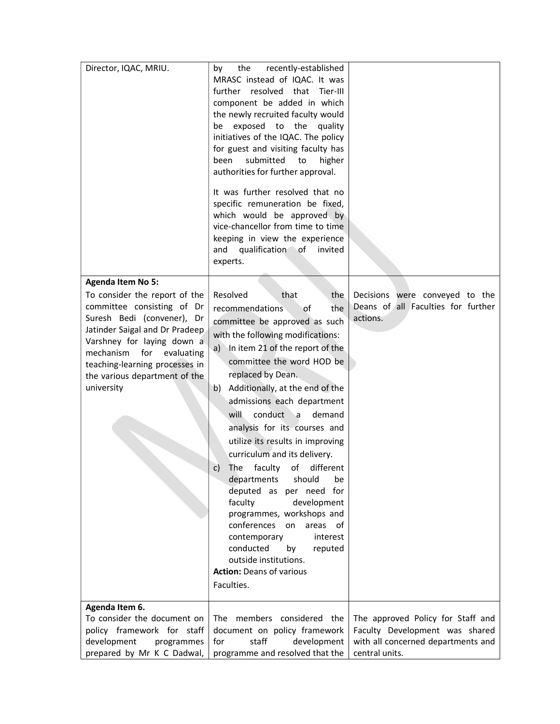| Director, IQAC, MRIU.                                                                                                                                                                                                                                                                                    | recently-established<br>by<br>the<br>MRASC instead of IQAC. It was<br>further resolved that<br>Tier-III<br>component be added in which<br>the newly recruited faculty would<br>be exposed to the<br>quality<br>initiatives of the IQAC. The policy<br>for guest and visiting faculty has<br>submitted<br>been<br>higher<br>to<br>authorities for further approval.<br>It was further resolved that no<br>specific remuneration be fixed,<br>which would be approved by<br>vice-chancellor from time to time<br>keeping in view the experience<br>qualification<br>and<br>∣of<br>invited<br>experts.                                                                                                                                                                 |                                                                                                                             |
|----------------------------------------------------------------------------------------------------------------------------------------------------------------------------------------------------------------------------------------------------------------------------------------------------------|---------------------------------------------------------------------------------------------------------------------------------------------------------------------------------------------------------------------------------------------------------------------------------------------------------------------------------------------------------------------------------------------------------------------------------------------------------------------------------------------------------------------------------------------------------------------------------------------------------------------------------------------------------------------------------------------------------------------------------------------------------------------|-----------------------------------------------------------------------------------------------------------------------------|
| <b>Agenda Item No 5:</b><br>To consider the report of the<br>committee consisting of Dr<br>Suresh Bedi (convener), Dr<br>Jatinder Saigal and Dr Pradeep<br>Varshney for laying down a<br>mechanism<br>for<br>evaluating<br>teaching-learning processes in<br>the various department of the<br>university | Resolved<br>that<br>the<br>the<br>recommendations<br>οf<br>committee be approved as such<br>with the following modifications:<br>In item 21 of the report of the<br>a)<br>committee the word HOD be<br>replaced by Dean.<br>Additionally, at the end of the<br>b)<br>admissions each department<br>conduct a<br>will<br>demand<br>analysis for its courses and<br>utilize its results in improving<br>curriculum and its delivery.<br>faculty<br>οf<br>different<br>The<br>C)<br>departments<br>should<br>be<br>deputed as per need for<br>faculty<br>development<br>programmes, workshops and<br>conferences<br>on<br>areas of<br>contemporary<br>interest<br>conducted<br>by<br>reputed<br>outside institutions.<br><b>Action: Deans of various</b><br>Faculties. | Decisions were conveyed to the<br>Deans of all Faculties for further<br>actions.                                            |
| Agenda Item 6.<br>To consider the document on<br>policy framework for staff<br>development<br>programmes<br>prepared by Mr K C Dadwal,                                                                                                                                                                   | The members considered the<br>document on policy framework<br>staff<br>for<br>development<br>programme and resolved that the                                                                                                                                                                                                                                                                                                                                                                                                                                                                                                                                                                                                                                        | The approved Policy for Staff and<br>Faculty Development was shared<br>with all concerned departments and<br>central units. |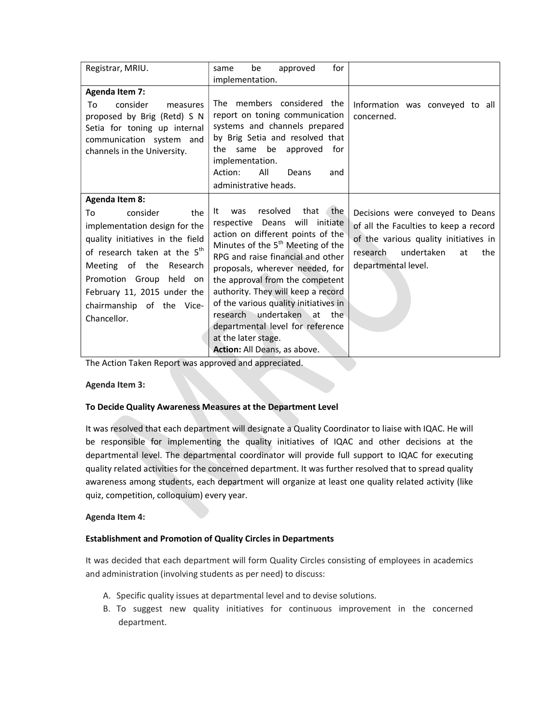| Registrar, MRIU.                                                                                                                                                                                                                                                                                       | for<br>be<br>approved<br>same<br>implementation.                                                                                                                                                                                                                                                                                                                                                                                                                                |                                                                                                                                                                                  |
|--------------------------------------------------------------------------------------------------------------------------------------------------------------------------------------------------------------------------------------------------------------------------------------------------------|---------------------------------------------------------------------------------------------------------------------------------------------------------------------------------------------------------------------------------------------------------------------------------------------------------------------------------------------------------------------------------------------------------------------------------------------------------------------------------|----------------------------------------------------------------------------------------------------------------------------------------------------------------------------------|
| <b>Agenda Item 7:</b><br>consider<br>To<br>measures<br>proposed by Brig (Retd) S N<br>Setia for toning up internal<br>communication system and<br>channels in the University.                                                                                                                          | The members considered the<br>report on toning communication<br>systems and channels prepared<br>by Brig Setia and resolved that<br>be<br>same<br>approved<br>for<br>the<br>implementation.<br>All<br>Action:<br>Deans<br>and<br>administrative heads.                                                                                                                                                                                                                          | Information was conveyed to all<br>concerned.                                                                                                                                    |
| <b>Agenda Item 8:</b><br>consider<br>To<br>the<br>implementation design for the<br>quality initiatives in the field<br>of research taken at the 5 <sup>th</sup><br>Meeting of the Research<br>Promotion Group<br>held<br>on<br>February 11, 2015 under the<br>chairmanship of the Vice-<br>Chancellor. | resolved<br>that<br>the<br>was<br>It<br>respective Deans will initiate<br>action on different points of the<br>Minutes of the 5 <sup>th</sup> Meeting of the<br>RPG and raise financial and other<br>proposals, wherever needed, for<br>the approval from the competent<br>authority. They will keep a record<br>of the various quality initiatives in<br>research undertaken at the<br>departmental level for reference<br>at the later stage.<br>Action: All Deans, as above. | Decisions were conveyed to Deans<br>of all the Faculties to keep a record<br>of the various quality initiatives in<br>undertaken<br>at<br>the<br>research<br>departmental level. |

The Action Taken Report was approved and appreciated.

## Agenda Item 3:

## To Decide Quality Awareness Measures at the Department Level

It was resolved that each department will designate a Quality Coordinator to liaise with IQAC. He will be responsible for implementing the quality initiatives of IQAC and other decisions at the departmental level. The departmental coordinator will provide full support to IQAC for executing quality related activities for the concerned department. It was further resolved that to spread quality awareness among students, each department will organize at least one quality related activity (like quiz, competition, colloquium) every year.

## Agenda Item 4:

## Establishment and Promotion of Quality Circles in Departments

It was decided that each department will form Quality Circles consisting of employees in academics and administration (involving students as per need) to discuss:

- A. Specific quality issues at departmental level and to devise solutions.
- B. To suggest new quality initiatives for continuous improvement in the concerned department.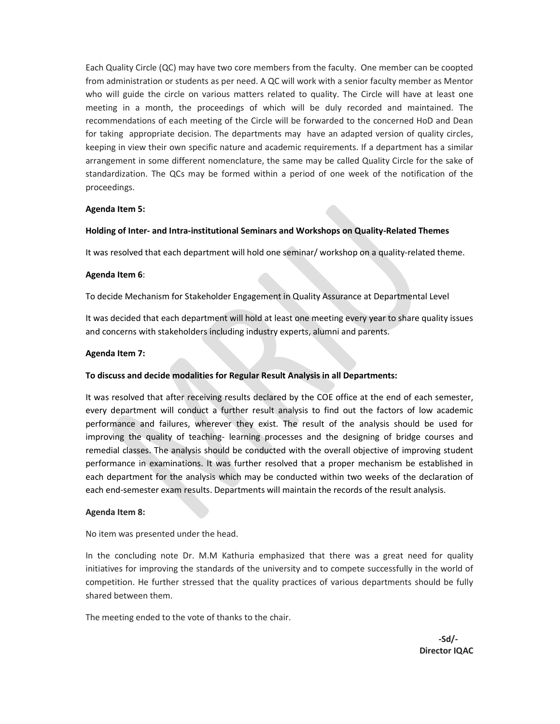Each Quality Circle (QC) may have two core members from the faculty. One member can be coopted from administration or students as per need. A QC will work with a senior faculty member as Mentor who will guide the circle on various matters related to quality. The Circle will have at least one meeting in a month, the proceedings of which will be duly recorded and maintained. The recommendations of each meeting of the Circle will be forwarded to the concerned HoD and Dean for taking appropriate decision. The departments may have an adapted version of quality circles, keeping in view their own specific nature and academic requirements. If a department has a similar arrangement in some different nomenclature, the same may be called Quality Circle for the sake of standardization. The QCs may be formed within a period of one week of the notification of the proceedings.

#### Agenda Item 5:

#### Holding of Inter- and Intra-institutional Seminars and Workshops on Quality-Related Themes

It was resolved that each department will hold one seminar/ workshop on a quality-related theme.

#### Agenda Item 6:

To decide Mechanism for Stakeholder Engagement in Quality Assurance at Departmental Level

It was decided that each department will hold at least one meeting every year to share quality issues and concerns with stakeholders including industry experts, alumni and parents.

#### Agenda Item 7:

#### To discuss and decide modalities for Regular Result Analysis in all Departments:

It was resolved that after receiving results declared by the COE office at the end of each semester, every department will conduct a further result analysis to find out the factors of low academic performance and failures, wherever they exist. The result of the analysis should be used for improving the quality of teaching- learning processes and the designing of bridge courses and remedial classes. The analysis should be conducted with the overall objective of improving student performance in examinations. It was further resolved that a proper mechanism be established in each department for the analysis which may be conducted within two weeks of the declaration of each end-semester exam results. Departments will maintain the records of the result analysis.

#### Agenda Item 8:

No item was presented under the head.

In the concluding note Dr. M.M Kathuria emphasized that there was a great need for quality initiatives for improving the standards of the university and to compete successfully in the world of competition. He further stressed that the quality practices of various departments should be fully shared between them.

The meeting ended to the vote of thanks to the chair.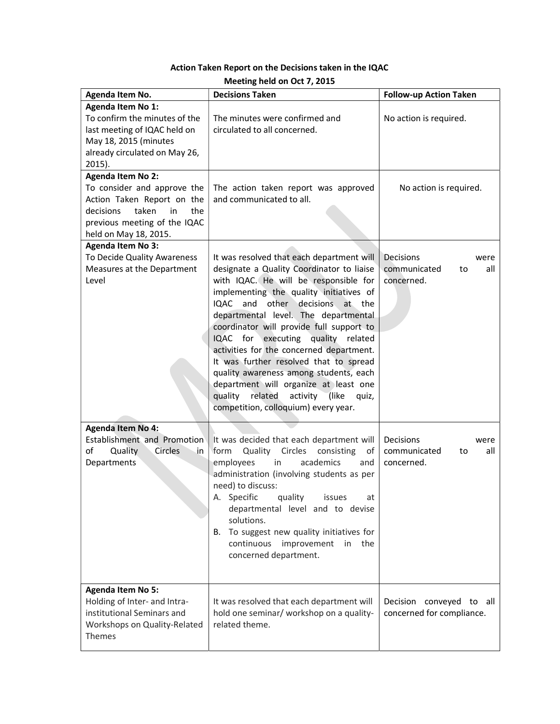| Meeting held on Oct 7, 2015                                                                                                                                                       |                                                                                                                                                                                                                                                                                                                                                                                                                                                                                                                                                                                                                 |                                                              |  |
|-----------------------------------------------------------------------------------------------------------------------------------------------------------------------------------|-----------------------------------------------------------------------------------------------------------------------------------------------------------------------------------------------------------------------------------------------------------------------------------------------------------------------------------------------------------------------------------------------------------------------------------------------------------------------------------------------------------------------------------------------------------------------------------------------------------------|--------------------------------------------------------------|--|
| Agenda Item No.                                                                                                                                                                   | <b>Decisions Taken</b>                                                                                                                                                                                                                                                                                                                                                                                                                                                                                                                                                                                          | <b>Follow-up Action Taken</b>                                |  |
| Agenda Item No 1:<br>To confirm the minutes of the<br>last meeting of IQAC held on<br>May 18, 2015 (minutes<br>already circulated on May 26,<br>$2015$ ).                         | The minutes were confirmed and<br>circulated to all concerned.                                                                                                                                                                                                                                                                                                                                                                                                                                                                                                                                                  | No action is required.                                       |  |
| <b>Agenda Item No 2:</b><br>To consider and approve the<br>Action Taken Report on the<br>taken<br>decisions<br>in<br>the<br>previous meeting of the IQAC<br>held on May 18, 2015. | The action taken report was approved<br>and communicated to all.                                                                                                                                                                                                                                                                                                                                                                                                                                                                                                                                                | No action is required.                                       |  |
| <b>Agenda Item No 3:</b><br>To Decide Quality Awareness<br>Measures at the Department<br>Level                                                                                    | It was resolved that each department will<br>designate a Quality Coordinator to liaise<br>with IQAC. He will be responsible for<br>implementing the quality initiatives of<br>and other decisions<br>IQAC<br>at the<br>departmental level. The departmental<br>coordinator will provide full support to<br>IQAC for executing quality related<br>activities for the concerned department.<br>It was further resolved that to spread<br>quality awareness among students, each<br>department will organize at least one<br>quality<br>related<br>activity (like<br>quiz,<br>competition, colloquium) every year. | Decisions<br>were<br>communicated<br>all<br>to<br>concerned. |  |
| <b>Agenda Item No 4:</b><br>Establishment and Promotion<br>of<br>Quality<br>Circles<br>.in<br>Departments                                                                         | It was decided that each department will<br>Quality<br>Circles<br>consisting<br>form<br>οf<br>academics<br>employees<br>in<br>and<br>administration (involving students as per<br>need) to discuss:<br>A. Specific<br>quality<br>issues<br>at<br>departmental level and to devise<br>solutions.<br>To suggest new quality initiatives for<br>В.<br>continuous<br>improvement<br>in the<br>concerned department.                                                                                                                                                                                                 | Decisions<br>were<br>communicated<br>all<br>to<br>concerned. |  |
| <b>Agenda Item No 5:</b><br>Holding of Inter- and Intra-<br>institutional Seminars and<br>Workshops on Quality-Related<br>Themes                                                  | It was resolved that each department will<br>hold one seminar/ workshop on a quality-<br>related theme.                                                                                                                                                                                                                                                                                                                                                                                                                                                                                                         | Decision conveyed to all<br>concerned for compliance.        |  |

# Action Taken Report on the Decisions taken in the IQAC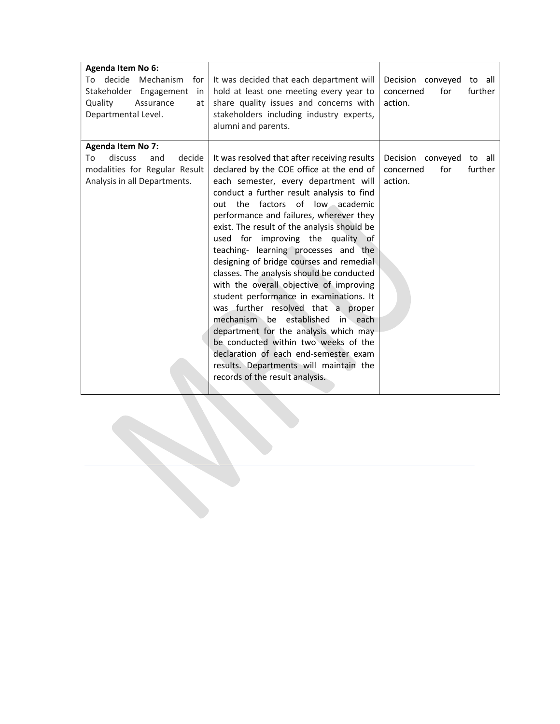| Agenda Item No 6:<br>To decide<br>Mechanism<br>for<br>Stakeholder Engagement<br>in<br>Quality<br>Assurance<br>at<br>Departmental Level. | It was decided that each department will<br>hold at least one meeting every year to<br>share quality issues and concerns with<br>stakeholders including industry experts,<br>alumni and parents.                                                                                                                                                                                                                                                                                                                                                                                                                                                                                                                                                                                                                                                        | Decision conveyed<br>to all<br>for<br>further<br>concerned<br>action. |
|-----------------------------------------------------------------------------------------------------------------------------------------|---------------------------------------------------------------------------------------------------------------------------------------------------------------------------------------------------------------------------------------------------------------------------------------------------------------------------------------------------------------------------------------------------------------------------------------------------------------------------------------------------------------------------------------------------------------------------------------------------------------------------------------------------------------------------------------------------------------------------------------------------------------------------------------------------------------------------------------------------------|-----------------------------------------------------------------------|
| <b>Agenda Item No 7:</b><br>discuss<br>decide<br>To<br>and<br>modalities for Regular Result<br>Analysis in all Departments.             | It was resolved that after receiving results<br>declared by the COE office at the end of<br>each semester, every department will<br>conduct a further result analysis to find<br>out the factors of low academic<br>performance and failures, wherever they<br>exist. The result of the analysis should be<br>used for improving the quality of<br>teaching- learning processes and the<br>designing of bridge courses and remedial<br>classes. The analysis should be conducted<br>with the overall objective of improving<br>student performance in examinations. It<br>was further resolved that a proper<br>mechanism be established in each<br>department for the analysis which may<br>be conducted within two weeks of the<br>declaration of each end-semester exam<br>results. Departments will maintain the<br>records of the result analysis. | Decision conveyed<br>to all<br>for<br>further<br>concerned<br>action. |

i<br>Li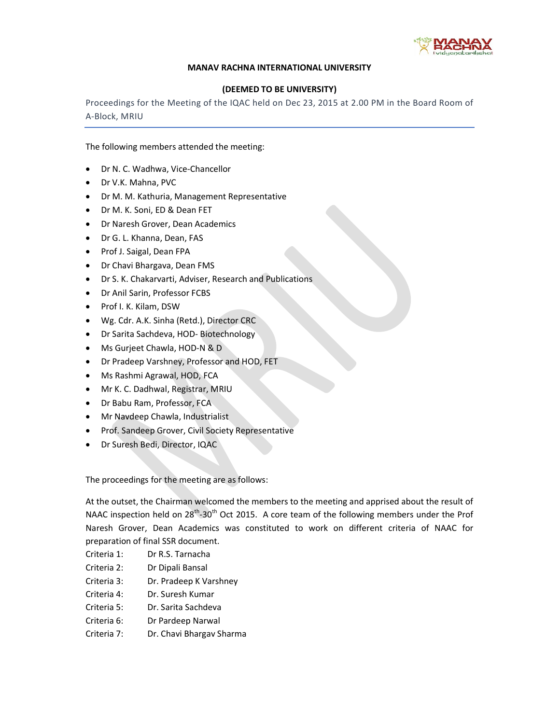

## MANAV RACHNA INTERNATIONAL UNIVERSITY

## (DEEMED TO BE UNIVERSITY)

Proceedings for the Meeting of the IQAC held on Dec 23, 2015 at 2.00 PM in the Board Room of A-Block, MRIU

The following members attended the meeting:

- Dr N. C. Wadhwa, Vice-Chancellor
- Dr V.K. Mahna, PVC
- Dr M. M. Kathuria, Management Representative
- Dr M. K. Soni, ED & Dean FET
- Dr Naresh Grover, Dean Academics
- Dr G. L. Khanna, Dean, FAS
- Prof J. Saigal, Dean FPA
- Dr Chavi Bhargava, Dean FMS
- Dr S. K. Chakarvarti, Adviser, Research and Publications
- Dr Anil Sarin, Professor FCBS
- Prof I. K. Kilam, DSW
- Wg. Cdr. A.K. Sinha (Retd.), Director CRC
- Dr Sarita Sachdeva, HOD- Biotechnology
- Ms Gurjeet Chawla, HOD-N & D
- Dr Pradeep Varshney, Professor and HOD, FET
- Ms Rashmi Agrawal, HOD, FCA
- Mr K. C. Dadhwal, Registrar, MRIU
- Dr Babu Ram, Professor, FCA
- Mr Navdeep Chawla, Industrialist
- Prof. Sandeep Grover, Civil Society Representative
- Dr Suresh Bedi, Director, IQAC

The proceedings for the meeting are as follows:

At the outset, the Chairman welcomed the members to the meeting and apprised about the result of NAAC inspection held on 28<sup>th</sup>-30<sup>th</sup> Oct 2015. A core team of the following members under the Prof Naresh Grover, Dean Academics was constituted to work on different criteria of NAAC for preparation of final SSR document.

- Criteria 1: Dr R.S. Tarnacha
- Criteria 2: Dr Dipali Bansal
- Criteria 3: Dr. Pradeep K Varshney
- Criteria 4: Dr. Suresh Kumar
- Criteria 5: Dr. Sarita Sachdeva
- Criteria 6: Dr Pardeep Narwal
- Criteria 7: Dr. Chavi Bhargav Sharma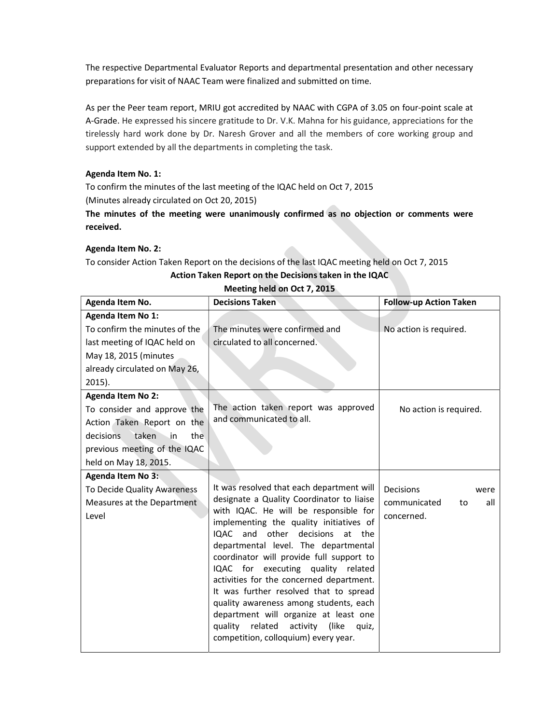The respective Departmental Evaluator Reports and departmental presentation and other necessary preparations for visit of NAAC Team were finalized and submitted on time.

As per the Peer team report, MRIU got accredited by NAAC with CGPA of 3.05 on four-point scale at A-Grade. He expressed his sincere gratitude to Dr. V.K. Mahna for his guidance, appreciations for the tirelessly hard work done by Dr. Naresh Grover and all the members of core working group and support extended by all the departments in completing the task.

## Agenda Item No. 1:

To confirm the minutes of the last meeting of the IQAC held on Oct 7, 2015 (Minutes already circulated on Oct 20, 2015)

The minutes of the meeting were unanimously confirmed as no objection or comments were received.

## Agenda Item No. 2:

To consider Action Taken Report on the decisions of the last IQAC meeting held on Oct 7, 2015

| Agenda Item No.               | <b>Decisions Taken</b>                                                              | <b>Follow-up Action Taken</b> |
|-------------------------------|-------------------------------------------------------------------------------------|-------------------------------|
| Agenda Item No 1:             |                                                                                     |                               |
| To confirm the minutes of the | The minutes were confirmed and                                                      | No action is required.        |
| last meeting of IQAC held on  | circulated to all concerned.                                                        |                               |
| May 18, 2015 (minutes         |                                                                                     |                               |
| already circulated on May 26, |                                                                                     |                               |
| $2015$ ).                     |                                                                                     |                               |
| <b>Agenda Item No 2:</b>      |                                                                                     |                               |
| To consider and approve the   | The action taken report was approved                                                | No action is required.        |
| Action Taken Report on the    | and communicated to all.                                                            |                               |
| taken in<br>decisions<br>the  |                                                                                     |                               |
| previous meeting of the IQAC  |                                                                                     |                               |
| held on May 18, 2015.         |                                                                                     |                               |
| <b>Agenda Item No 3:</b>      |                                                                                     |                               |
| To Decide Quality Awareness   | It was resolved that each department will                                           | <b>Decisions</b><br>were      |
| Measures at the Department    | designate a Quality Coordinator to liaise                                           | communicated<br>all<br>to     |
| Level                         | with IQAC. He will be responsible for                                               | concerned.                    |
|                               | implementing the quality initiatives of<br>and other<br>decisions<br>IOAC<br>at the |                               |
|                               | departmental level. The departmental                                                |                               |
|                               | coordinator will provide full support to                                            |                               |
|                               | IQAC for executing quality related                                                  |                               |
|                               | activities for the concerned department.                                            |                               |
|                               | It was further resolved that to spread                                              |                               |
|                               | quality awareness among students, each                                              |                               |
|                               | department will organize at least one                                               |                               |
|                               | related<br>activity (like<br>quality<br>quiz,                                       |                               |
|                               | competition, colloquium) every year.                                                |                               |

## Action Taken Report on the Decisions taken in the IQAC Meeting held on Oct 7, 2015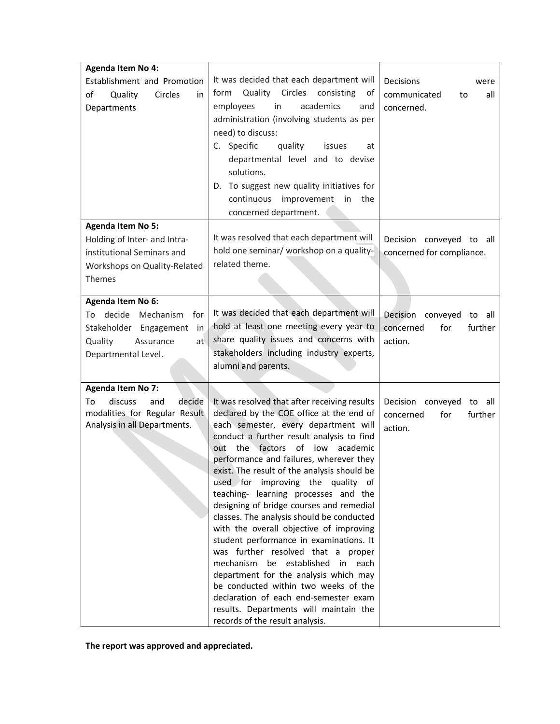| <b>Agenda Item No 4:</b><br>Establishment and Promotion<br>of<br>Quality<br>Circles<br>in<br>Departments                                          | It was decided that each department will<br>Quality Circles consisting<br>form<br>οf<br>employees<br>academics<br>in<br>and<br>administration (involving students as per<br>need) to discuss:<br>C. Specific<br>quality<br>issues<br>at<br>departmental level and to devise<br>solutions.<br>D. To suggest new quality initiatives for<br>improvement<br>continuous<br>in the<br>concerned department.                                                                                                                                                                                                                                                                                                                                                                                                                                                     | Decisions<br>were<br>communicated<br>all<br>to<br>concerned.       |
|---------------------------------------------------------------------------------------------------------------------------------------------------|------------------------------------------------------------------------------------------------------------------------------------------------------------------------------------------------------------------------------------------------------------------------------------------------------------------------------------------------------------------------------------------------------------------------------------------------------------------------------------------------------------------------------------------------------------------------------------------------------------------------------------------------------------------------------------------------------------------------------------------------------------------------------------------------------------------------------------------------------------|--------------------------------------------------------------------|
| <b>Agenda Item No 5:</b><br>Holding of Inter- and Intra-<br>institutional Seminars and<br>Workshops on Quality-Related<br>Themes                  | It was resolved that each department will<br>hold one seminar/ workshop on a quality-<br>related theme.                                                                                                                                                                                                                                                                                                                                                                                                                                                                                                                                                                                                                                                                                                                                                    | Decision conveyed to all<br>concerned for compliance.              |
| <b>Agenda Item No 6:</b><br>decide<br>Mechanism<br>for<br>To<br>Stakeholder Engagement<br>in<br>Quality<br>Assurance<br>at<br>Departmental Level. | It was decided that each department will<br>hold at least one meeting every year to<br>share quality issues and concerns with<br>stakeholders including industry experts,<br>alumni and parents.                                                                                                                                                                                                                                                                                                                                                                                                                                                                                                                                                                                                                                                           | Decision conveyed to all<br>for<br>further<br>concerned<br>action. |
| <b>Agenda Item No 7:</b><br>decide<br>discuss<br>and<br>To<br>modalities for Regular Result<br>Analysis in all Departments.                       | It was resolved that after receiving results<br>declared by the COE office at the end of<br>each semester, every department will<br>conduct a further result analysis to find<br>out the factors of low<br>academic<br>performance and failures, wherever they<br>exist. The result of the analysis should be<br>used for improving the quality of<br>teaching- learning processes and the<br>designing of bridge courses and remedial<br>classes. The analysis should be conducted<br>with the overall objective of improving<br>student performance in examinations. It<br>was further resolved that a proper<br>mechanism be established in each<br>department for the analysis which may<br>be conducted within two weeks of the<br>declaration of each end-semester exam<br>results. Departments will maintain the<br>records of the result analysis. | Decision conveyed to all<br>concerned<br>for<br>further<br>action. |

The report was approved and appreciated.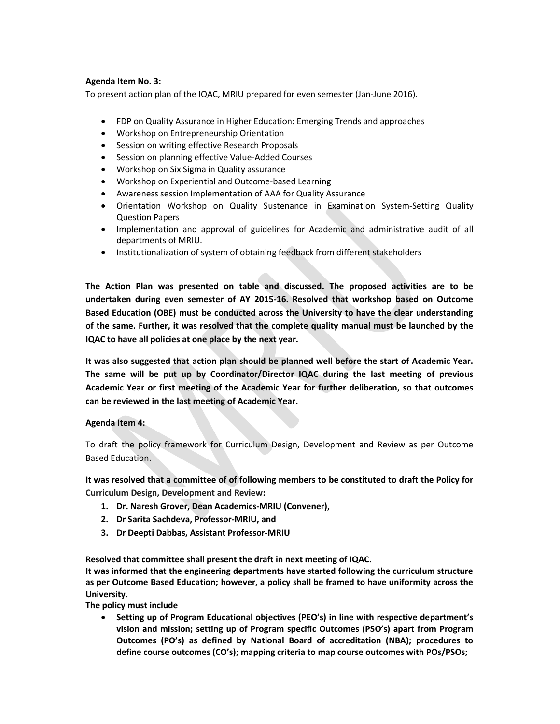## Agenda Item No. 3:

To present action plan of the IQAC, MRIU prepared for even semester (Jan-June 2016).

- FDP on Quality Assurance in Higher Education: Emerging Trends and approaches
- Workshop on Entrepreneurship Orientation
- Session on writing effective Research Proposals
- Session on planning effective Value-Added Courses
- Workshop on Six Sigma in Quality assurance
- Workshop on Experiential and Outcome-based Learning
- Awareness session Implementation of AAA for Quality Assurance
- Orientation Workshop on Quality Sustenance in Examination System-Setting Quality Question Papers
- Implementation and approval of guidelines for Academic and administrative audit of all departments of MRIU.
- Institutionalization of system of obtaining feedback from different stakeholders

The Action Plan was presented on table and discussed. The proposed activities are to be undertaken during even semester of AY 2015-16. Resolved that workshop based on Outcome Based Education (OBE) must be conducted across the University to have the clear understanding of the same. Further, it was resolved that the complete quality manual must be launched by the IQAC to have all policies at one place by the next year.

It was also suggested that action plan should be planned well before the start of Academic Year. The same will be put up by Coordinator/Director IQAC during the last meeting of previous Academic Year or first meeting of the Academic Year for further deliberation, so that outcomes can be reviewed in the last meeting of Academic Year.

## Agenda Item 4:

To draft the policy framework for Curriculum Design, Development and Review as per Outcome Based Education.

It was resolved that a committee of of following members to be constituted to draft the Policy for Curriculum Design, Development and Review:

- 1. Dr. Naresh Grover, Dean Academics-MRIU (Convener),
- 2. Dr Sarita Sachdeva, Professor-MRIU, and
- 3. Dr Deepti Dabbas, Assistant Professor-MRIU

Resolved that committee shall present the draft in next meeting of IQAC.

It was informed that the engineering departments have started following the curriculum structure as per Outcome Based Education; however, a policy shall be framed to have uniformity across the University.

The policy must include

 Setting up of Program Educational objectives (PEO's) in line with respective department's vision and mission; setting up of Program specific Outcomes (PSO's) apart from Program Outcomes (PO's) as defined by National Board of accreditation (NBA); procedures to define course outcomes (CO's); mapping criteria to map course outcomes with POs/PSOs;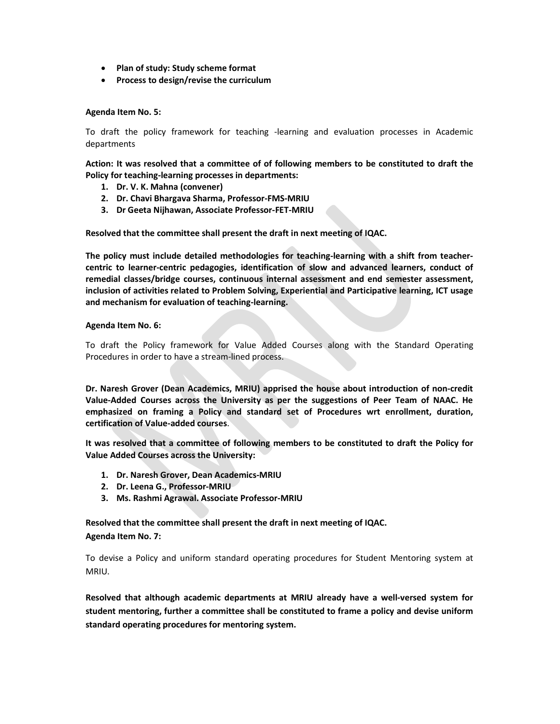- Plan of study: Study scheme format
- Process to design/revise the curriculum

### Agenda Item No. 5:

To draft the policy framework for teaching -learning and evaluation processes in Academic departments

Action: It was resolved that a committee of of following members to be constituted to draft the Policy for teaching-learning processes in departments:

- 1. Dr. V. K. Mahna (convener)
- 2. Dr. Chavi Bhargava Sharma, Professor-FMS-MRIU
- 3. Dr Geeta Nijhawan, Associate Professor-FET-MRIU

Resolved that the committee shall present the draft in next meeting of IQAC.

The policy must include detailed methodologies for teaching-learning with a shift from teachercentric to learner-centric pedagogies, identification of slow and advanced learners, conduct of remedial classes/bridge courses, continuous internal assessment and end semester assessment, inclusion of activities related to Problem Solving, Experiential and Participative learning, ICT usage and mechanism for evaluation of teaching-learning.

#### Agenda Item No. 6:

To draft the Policy framework for Value Added Courses along with the Standard Operating Procedures in order to have a stream-lined process.

Dr. Naresh Grover (Dean Academics, MRIU) apprised the house about introduction of non-credit Value-Added Courses across the University as per the suggestions of Peer Team of NAAC. He emphasized on framing a Policy and standard set of Procedures wrt enrollment, duration, certification of Value-added courses.

It was resolved that a committee of following members to be constituted to draft the Policy for Value Added Courses across the University:

- 1. Dr. Naresh Grover, Dean Academics-MRIU
- 2. Dr. Leena G., Professor-MRIU
- 3. Ms. Rashmi Agrawal. Associate Professor-MRIU

Resolved that the committee shall present the draft in next meeting of IQAC. Agenda Item No. 7:

To devise a Policy and uniform standard operating procedures for Student Mentoring system at MRIU.

Resolved that although academic departments at MRIU already have a well-versed system for student mentoring, further a committee shall be constituted to frame a policy and devise uniform standard operating procedures for mentoring system.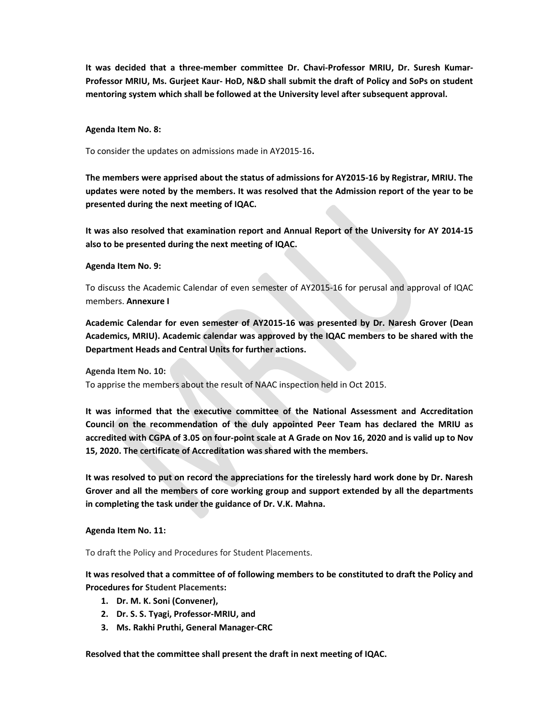It was decided that a three-member committee Dr. Chavi-Professor MRIU, Dr. Suresh Kumar-Professor MRIU, Ms. Gurjeet Kaur- HoD, N&D shall submit the draft of Policy and SoPs on student mentoring system which shall be followed at the University level after subsequent approval.

#### Agenda Item No. 8:

To consider the updates on admissions made in AY2015-16.

The members were apprised about the status of admissions for AY2015-16 by Registrar, MRIU. The updates were noted by the members. It was resolved that the Admission report of the year to be presented during the next meeting of IQAC.

It was also resolved that examination report and Annual Report of the University for AY 2014-15 also to be presented during the next meeting of IQAC.

#### Agenda Item No. 9:

To discuss the Academic Calendar of even semester of AY2015-16 for perusal and approval of IQAC members. Annexure I

Academic Calendar for even semester of AY2015-16 was presented by Dr. Naresh Grover (Dean Academics, MRIU). Academic calendar was approved by the IQAC members to be shared with the Department Heads and Central Units for further actions.

Agenda Item No. 10:

To apprise the members about the result of NAAC inspection held in Oct 2015.

It was informed that the executive committee of the National Assessment and Accreditation Council on the recommendation of the duly appointed Peer Team has declared the MRIU as accredited with CGPA of 3.05 on four-point scale at A Grade on Nov 16, 2020 and is valid up to Nov 15, 2020. The certificate of Accreditation was shared with the members.

It was resolved to put on record the appreciations for the tirelessly hard work done by Dr. Naresh Grover and all the members of core working group and support extended by all the departments in completing the task under the guidance of Dr. V.K. Mahna.

## Agenda Item No. 11:

To draft the Policy and Procedures for Student Placements.

It was resolved that a committee of of following members to be constituted to draft the Policy and Procedures for Student Placements:

- 1. Dr. M. K. Soni (Convener),
- 2. Dr. S. S. Tyagi, Professor-MRIU, and
- 3. Ms. Rakhi Pruthi, General Manager-CRC

Resolved that the committee shall present the draft in next meeting of IQAC.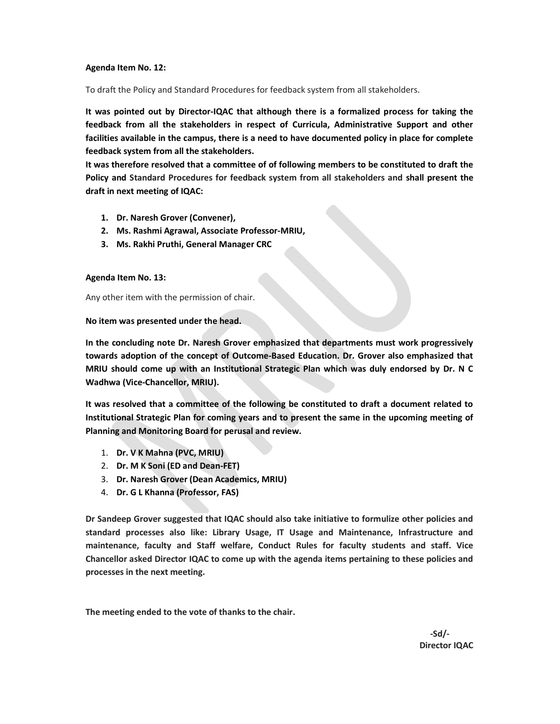#### Agenda Item No. 12:

To draft the Policy and Standard Procedures for feedback system from all stakeholders.

It was pointed out by Director-IQAC that although there is a formalized process for taking the feedback from all the stakeholders in respect of Curricula, Administrative Support and other facilities available in the campus, there is a need to have documented policy in place for complete feedback system from all the stakeholders.

It was therefore resolved that a committee of of following members to be constituted to draft the Policy and Standard Procedures for feedback system from all stakeholders and shall present the draft in next meeting of IQAC:

- 1. Dr. Naresh Grover (Convener),
- 2. Ms. Rashmi Agrawal, Associate Professor-MRIU,
- 3. Ms. Rakhi Pruthi, General Manager CRC

#### Agenda Item No. 13:

Any other item with the permission of chair.

#### No item was presented under the head.

In the concluding note Dr. Naresh Grover emphasized that departments must work progressively towards adoption of the concept of Outcome-Based Education. Dr. Grover also emphasized that MRIU should come up with an Institutional Strategic Plan which was duly endorsed by Dr. N C Wadhwa (Vice-Chancellor, MRIU).

It was resolved that a committee of the following be constituted to draft a document related to Institutional Strategic Plan for coming years and to present the same in the upcoming meeting of Planning and Monitoring Board for perusal and review.

- 1. Dr. V K Mahna (PVC, MRIU)
- 2. Dr. M K Soni (ED and Dean-FET)
- 3. Dr. Naresh Grover (Dean Academics, MRIU)
- 4. Dr. G L Khanna (Professor, FAS)

Dr Sandeep Grover suggested that IQAC should also take initiative to formulize other policies and standard processes also like: Library Usage, IT Usage and Maintenance, Infrastructure and maintenance, faculty and Staff welfare, Conduct Rules for faculty students and staff. Vice Chancellor asked Director IQAC to come up with the agenda items pertaining to these policies and processes in the next meeting.

The meeting ended to the vote of thanks to the chair.

 $-Sd/$ - $Sd/$ Director IQAC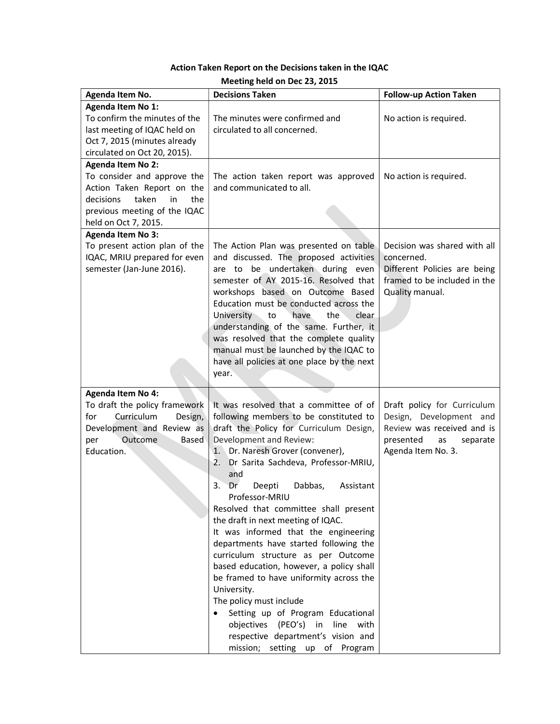|  |  |  | Action Taken Report on the Decisions taken in the IQAC |
|--|--|--|--------------------------------------------------------|
|--|--|--|--------------------------------------------------------|

| Agenda Item No.                 | <b>Decisions Taken</b>                     | <b>Follow-up Action Taken</b> |
|---------------------------------|--------------------------------------------|-------------------------------|
| Agenda Item No 1:               |                                            |                               |
| To confirm the minutes of the   | The minutes were confirmed and             | No action is required.        |
| last meeting of IQAC held on    | circulated to all concerned.               |                               |
| Oct 7, 2015 (minutes already    |                                            |                               |
| circulated on Oct 20, 2015).    |                                            |                               |
| <b>Agenda Item No 2:</b>        |                                            |                               |
| To consider and approve the     | The action taken report was approved       | No action is required.        |
| Action Taken Report on the      | and communicated to all.                   |                               |
| taken<br>decisions<br>in<br>the |                                            |                               |
| previous meeting of the IQAC    |                                            |                               |
| held on Oct 7, 2015.            |                                            |                               |
| <b>Agenda Item No 3:</b>        |                                            |                               |
| To present action plan of the   | The Action Plan was presented on table     | Decision was shared with all  |
| IQAC, MRIU prepared for even    | and discussed. The proposed activities     | concerned.                    |
| semester (Jan-June 2016).       | are to be undertaken during even           | Different Policies are being  |
|                                 | semester of AY 2015-16. Resolved that      | framed to be included in the  |
|                                 | workshops based on Outcome Based           | Quality manual.               |
|                                 | Education must be conducted across the     |                               |
|                                 | clear<br>University to<br>have<br>the      |                               |
|                                 | understanding of the same. Further, it     |                               |
|                                 | was resolved that the complete quality     |                               |
|                                 | manual must be launched by the IQAC to     |                               |
|                                 | have all policies at one place by the next |                               |
|                                 | year.                                      |                               |
|                                 |                                            |                               |
| <b>Agenda Item No 4:</b>        |                                            |                               |
| To draft the policy framework   | It was resolved that a committee of of     | Draft policy for Curriculum   |
| Curriculum<br>for<br>Design,    | following members to be constituted to     | Design, Development and       |
| Development and Review as       | draft the Policy for Curriculum Design,    | Review was received and is    |
| Outcome<br>per<br>Based         | Development and Review:                    | presented<br>separate<br>as   |
| Education.                      | Dr. Naresh Grover (convener),<br>1.        | Agenda Item No. 3.            |
|                                 | Dr Sarita Sachdeva, Professor-MRIU,<br>2.  |                               |
|                                 | and                                        |                               |
|                                 | 3.<br>Dr<br>Dabbas,<br>Deepti<br>Assistant |                               |
|                                 | Professor-MRIU                             |                               |
|                                 | Resolved that committee shall present      |                               |
|                                 | the draft in next meeting of IQAC.         |                               |
|                                 | It was informed that the engineering       |                               |
|                                 | departments have started following the     |                               |
|                                 | curriculum structure as per Outcome        |                               |
|                                 | based education, however, a policy shall   |                               |
|                                 | be framed to have uniformity across the    |                               |
|                                 | University.                                |                               |
|                                 | The policy must include                    |                               |
|                                 | Setting up of Program Educational          |                               |
|                                 | objectives (PEO's) in line with            |                               |
|                                 | respective department's vision and         |                               |
|                                 | mission; setting up of Program             |                               |

Meeting held on Dec 23, 2015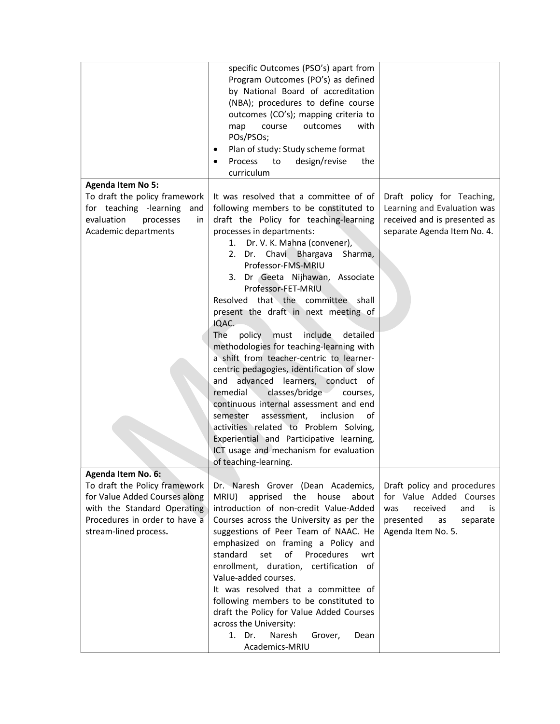|                                                                                                                                                         | specific Outcomes (PSO's) apart from<br>Program Outcomes (PO's) as defined<br>by National Board of accreditation<br>(NBA); procedures to define course<br>outcomes (CO's); mapping criteria to<br>map<br>course<br>outcomes<br>with<br>POs/PSOs;<br>Plan of study: Study scheme format<br>٠<br>Process<br>to<br>design/revise<br>the<br>curriculum                                                                                                                                                                                                                                                                                                                                                                                                                                                                                                                                                                                |                                                                                                                                             |
|---------------------------------------------------------------------------------------------------------------------------------------------------------|-----------------------------------------------------------------------------------------------------------------------------------------------------------------------------------------------------------------------------------------------------------------------------------------------------------------------------------------------------------------------------------------------------------------------------------------------------------------------------------------------------------------------------------------------------------------------------------------------------------------------------------------------------------------------------------------------------------------------------------------------------------------------------------------------------------------------------------------------------------------------------------------------------------------------------------|---------------------------------------------------------------------------------------------------------------------------------------------|
| <b>Agenda Item No 5:</b>                                                                                                                                |                                                                                                                                                                                                                                                                                                                                                                                                                                                                                                                                                                                                                                                                                                                                                                                                                                                                                                                                   |                                                                                                                                             |
| To draft the policy framework<br>for teaching -learning<br>and<br>evaluation<br>processes<br>in.<br>Academic departments                                | It was resolved that a committee of of<br>following members to be constituted to<br>draft the Policy for teaching-learning<br>processes in departments:<br>Dr. V. K. Mahna (convener),<br>1.<br>2. Dr. Chavi Bhargava<br>Sharma,<br>Professor-FMS-MRIU<br>3. Dr Geeta Nijhawan, Associate<br>Professor-FET-MRIU<br>Resolved that the committee shall<br>present the draft in next meeting of<br>IQAC.<br>policy<br>include<br>detailed<br>The<br>must<br>methodologies for teaching-learning with<br>a shift from teacher-centric to learner-<br>centric pedagogies, identification of slow<br>advanced learners,<br>and<br>conduct of<br>remedial<br>classes/bridge<br>courses,<br>continuous internal assessment and end<br>inclusion<br>semester<br>assessment,<br>οf<br>activities related to Problem Solving,<br>Experiential and Participative learning,<br>ICT usage and mechanism for evaluation<br>of teaching-learning. | Draft policy for Teaching,<br>Learning and Evaluation was<br>received and is presented as<br>separate Agenda Item No. 4.                    |
| Agenda Item No. 6:                                                                                                                                      |                                                                                                                                                                                                                                                                                                                                                                                                                                                                                                                                                                                                                                                                                                                                                                                                                                                                                                                                   |                                                                                                                                             |
| To draft the Policy framework<br>for Value Added Courses along<br>with the Standard Operating<br>Procedures in order to have a<br>stream-lined process. | Dr. Naresh Grover (Dean Academics,<br>MRIU)<br>apprised<br>the<br>house<br>about<br>introduction of non-credit Value-Added<br>Courses across the University as per the<br>suggestions of Peer Team of NAAC. He<br>emphasized on framing a Policy and<br>standard<br>set<br>of<br>Procedures<br>wrt<br>enrollment, duration, certification of<br>Value-added courses.<br>It was resolved that a committee of<br>following members to be constituted to<br>draft the Policy for Value Added Courses<br>across the University:<br>1. Dr.<br>Naresh<br>Grover,<br>Dean<br>Academics-MRIU                                                                                                                                                                                                                                                                                                                                              | Draft policy and procedures<br>for Value Added Courses<br>received<br>and<br>was<br>is<br>presented<br>as<br>separate<br>Agenda Item No. 5. |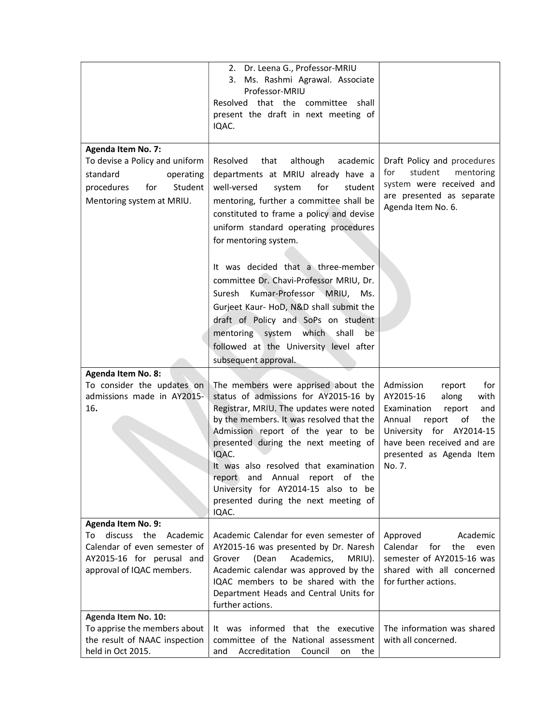|                                                                                                                                                   | 2. Dr. Leena G., Professor-MRIU<br>3. Ms. Rashmi Agrawal. Associate<br>Professor-MRIU<br>Resolved that the committee shall<br>present the draft in next meeting of<br>IQAC.                                                                                                                                                                                                                                                                                                                                                                                                                             |                                                                                                                                                                                                                           |
|---------------------------------------------------------------------------------------------------------------------------------------------------|---------------------------------------------------------------------------------------------------------------------------------------------------------------------------------------------------------------------------------------------------------------------------------------------------------------------------------------------------------------------------------------------------------------------------------------------------------------------------------------------------------------------------------------------------------------------------------------------------------|---------------------------------------------------------------------------------------------------------------------------------------------------------------------------------------------------------------------------|
| <b>Agenda Item No. 7:</b><br>To devise a Policy and uniform<br>standard<br>operating<br>for<br>Student<br>procedures<br>Mentoring system at MRIU. | Resolved<br>that<br>although<br>academic<br>departments at MRIU already have a<br>well-versed<br>for<br>system<br>student<br>mentoring, further a committee shall be<br>constituted to frame a policy and devise<br>uniform standard operating procedures<br>for mentoring system.<br>It was decided that a three-member<br>committee Dr. Chavi-Professor MRIU, Dr.<br>Suresh Kumar-Professor MRIU,<br>Ms.<br>Gurjeet Kaur- HoD, N&D shall submit the<br>draft of Policy and SoPs on student<br>which shall<br>mentoring system<br>be<br>followed at the University level after<br>subsequent approval. | Draft Policy and procedures<br>student<br>mentoring<br>for<br>system were received and<br>are presented as separate<br>Agenda Item No. 6.                                                                                 |
| <b>Agenda Item No. 8:</b><br>To consider the updates on<br>admissions made in AY2015-<br>16.                                                      | The members were apprised about the<br>status of admissions for AY2015-16 by<br>Registrar, MRIU. The updates were noted<br>by the members. It was resolved that the<br>Admission report of the year to be<br>presented during the next meeting of<br>IQAC.<br>It was also resolved that examination<br>report and Annual report of the<br>University for AY2014-15 also to be<br>presented during the next meeting of<br>IQAC.                                                                                                                                                                          | Admission<br>for<br>report<br>AY2015-16<br>along<br>with<br>Examination<br>and<br>report<br>Annual<br>report<br>the<br>οf<br>University for AY2014-15<br>have been received and are<br>presented as Agenda Item<br>No. 7. |
| Agenda Item No. 9:<br>discuss the Academic<br>To<br>Calendar of even semester of<br>AY2015-16 for perusal and<br>approval of IQAC members.        | Academic Calendar for even semester of<br>AY2015-16 was presented by Dr. Naresh<br>Academics,<br>Grover<br>(Dean<br>MRIU).<br>Academic calendar was approved by the<br>IQAC members to be shared with the<br>Department Heads and Central Units for<br>further actions.                                                                                                                                                                                                                                                                                                                                 | Academic<br>Approved<br>Calendar<br>for<br>the<br>even<br>semester of AY2015-16 was<br>shared with all concerned<br>for further actions.                                                                                  |
| Agenda Item No. 10:<br>To apprise the members about<br>the result of NAAC inspection<br>held in Oct 2015.                                         | It was informed that the executive<br>committee of the National assessment<br>Accreditation<br>and<br>Council<br>the<br>on                                                                                                                                                                                                                                                                                                                                                                                                                                                                              | The information was shared<br>with all concerned.                                                                                                                                                                         |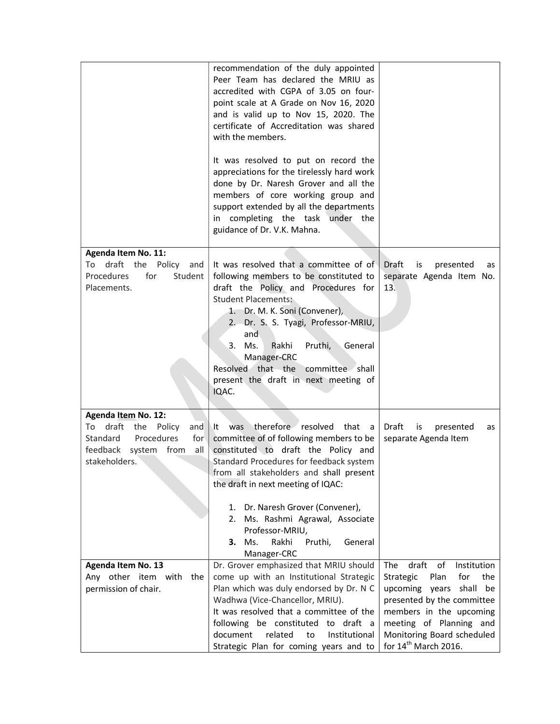|                                                                                                                | recommendation of the duly appointed<br>Peer Team has declared the MRIU as<br>accredited with CGPA of 3.05 on four-<br>point scale at A Grade on Nov 16, 2020<br>and is valid up to Nov 15, 2020. The<br>certificate of Accreditation was shared<br>with the members.<br>It was resolved to put on record the<br>appreciations for the tirelessly hard work<br>done by Dr. Naresh Grover and all the<br>members of core working group and<br>support extended by all the departments<br>in completing the task under the<br>guidance of Dr. V.K. Mahna. |                                                                                                                                                                                                                                                                 |
|----------------------------------------------------------------------------------------------------------------|---------------------------------------------------------------------------------------------------------------------------------------------------------------------------------------------------------------------------------------------------------------------------------------------------------------------------------------------------------------------------------------------------------------------------------------------------------------------------------------------------------------------------------------------------------|-----------------------------------------------------------------------------------------------------------------------------------------------------------------------------------------------------------------------------------------------------------------|
|                                                                                                                |                                                                                                                                                                                                                                                                                                                                                                                                                                                                                                                                                         |                                                                                                                                                                                                                                                                 |
| Agenda Item No. 11:<br>To draft the<br>Policy<br>and<br>Procedures<br>for<br>Student<br>Placements.            | It was resolved that a committee of of<br>following members to be constituted to<br>draft the Policy and Procedures for<br><b>Student Placements:</b><br>1. Dr. M. K. Soni (Convener),<br>2. Dr. S. S. Tyagi, Professor-MRIU,<br>and<br>3. Ms.<br>Rakhi<br>Pruthi,<br>General<br>Manager-CRC<br>Resolved that the<br>committee shall<br>present the draft in next meeting of<br>IQAC.                                                                                                                                                                   | Draft<br>presented<br>is<br>as<br>separate Agenda Item No.<br>13.                                                                                                                                                                                               |
| <b>Agenda Item No. 12:</b>                                                                                     |                                                                                                                                                                                                                                                                                                                                                                                                                                                                                                                                                         |                                                                                                                                                                                                                                                                 |
| To draft the Policy<br>and<br>Standard<br>Procedures<br>for<br>feedback<br>system from<br>all<br>stakeholders. | therefore resolved that<br><b>was</b><br>.lt.<br>a a<br>committee of of following members to be<br>constituted to draft the Policy and<br>Standard Procedures for feedback system<br>from all stakeholders and shall present<br>the draft in next meeting of IQAC:                                                                                                                                                                                                                                                                                      | Draft<br>is<br>presented<br>as<br>separate Agenda Item                                                                                                                                                                                                          |
|                                                                                                                | 1. Dr. Naresh Grover (Convener),<br>2. Ms. Rashmi Agrawal, Associate<br>Professor-MRIU,<br>Rakhi<br><b>3.</b> Ms.<br>Pruthi,<br>General<br>Manager-CRC                                                                                                                                                                                                                                                                                                                                                                                                  |                                                                                                                                                                                                                                                                 |
| Agenda Item No. 13<br>Any other item with the<br>permission of chair.                                          | Dr. Grover emphasized that MRIU should<br>come up with an Institutional Strategic<br>Plan which was duly endorsed by Dr. N C<br>Wadhwa (Vice-Chancellor, MRIU).<br>It was resolved that a committee of the<br>following be constituted to draft a<br>document<br>related<br>to<br>Institutional<br>Strategic Plan for coming years and to                                                                                                                                                                                                               | draft<br>of<br><b>The</b><br>Institution<br>Strategic<br>Plan<br>for<br>the<br>upcoming years<br>shall be<br>presented by the committee<br>members in the upcoming<br>meeting of Planning and<br>Monitoring Board scheduled<br>for 14 <sup>th</sup> March 2016. |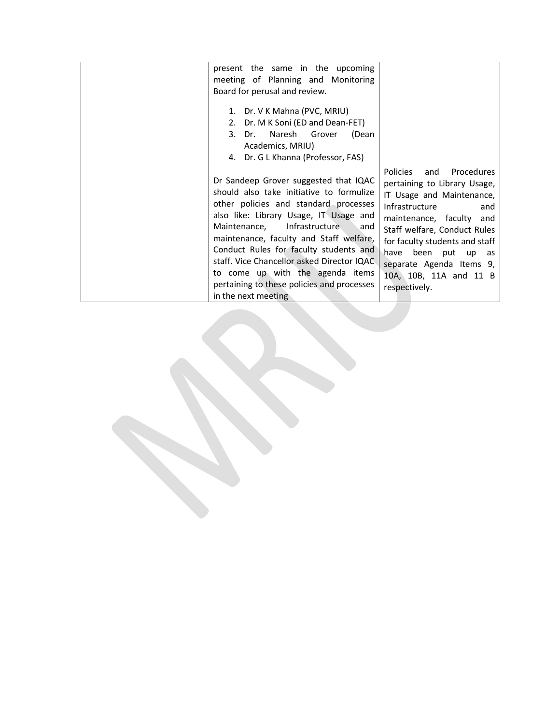| present the same in the upcoming<br>meeting of Planning and Monitoring<br>Board for perusal and review.<br>1. Dr. V K Mahna (PVC, MRIU)<br>2. Dr. M K Soni (ED and Dean-FET)<br>Dr. Naresh Grover<br>(Dean<br>3.<br>Academics, MRIU)<br>4. Dr. G L Khanna (Professor, FAS)                                                                                                                                                                          |                                                                                                                                                                                                                                                                                                                 |
|-----------------------------------------------------------------------------------------------------------------------------------------------------------------------------------------------------------------------------------------------------------------------------------------------------------------------------------------------------------------------------------------------------------------------------------------------------|-----------------------------------------------------------------------------------------------------------------------------------------------------------------------------------------------------------------------------------------------------------------------------------------------------------------|
| Dr Sandeep Grover suggested that IQAC<br>should also take initiative to formulize<br>other policies and standard processes<br>also like: Library Usage, IT Usage and<br>Maintenance, Infrastructure and<br>maintenance, faculty and Staff welfare,<br>Conduct Rules for faculty students and<br>staff. Vice Chancellor asked Director IQAC<br>to come up with the agenda items<br>pertaining to these policies and processes<br>in the next meeting | Policies<br>Procedures<br>and<br>pertaining to Library Usage,<br>IT Usage and Maintenance,<br>Infrastructure<br>and<br>maintenance, faculty and<br>Staff welfare, Conduct Rules<br>for faculty students and staff<br>have been put up as<br>separate Agenda Items 9,<br>10A, 10B, 11A and 11 B<br>respectively. |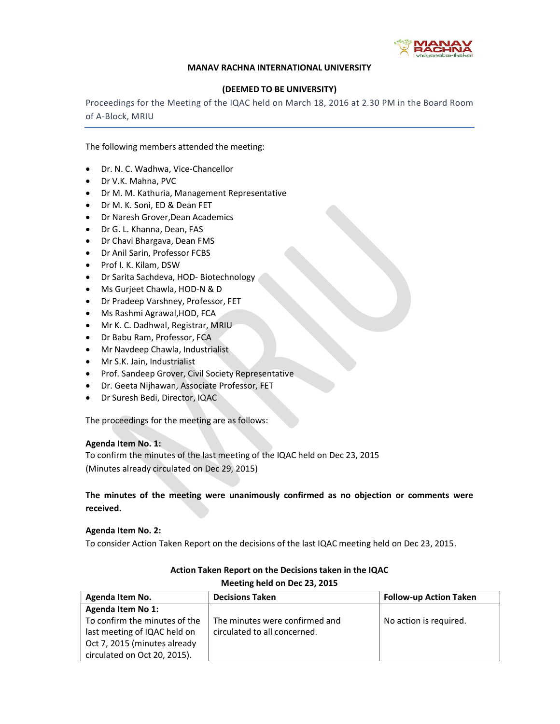

#### MANAV RACHNA INTERNATIONAL UNIVERSITY

## (DEEMED TO BE UNIVERSITY)

Proceedings for the Meeting of the IQAC held on March 18, 2016 at 2.30 PM in the Board Room of A-Block, MRIU

The following members attended the meeting:

- Dr. N. C. Wadhwa, Vice-Chancellor
- Dr V.K. Mahna, PVC
- Dr M. M. Kathuria, Management Representative
- Dr M. K. Soni, ED & Dean FET
- Dr Naresh Grover,Dean Academics
- Dr G. L. Khanna, Dean, FAS
- Dr Chavi Bhargava, Dean FMS
- Dr Anil Sarin, Professor FCBS
- Prof I. K. Kilam, DSW
- Dr Sarita Sachdeva, HOD- Biotechnology
- Ms Gurjeet Chawla, HOD-N & D
- Dr Pradeep Varshney, Professor, FET
- Ms Rashmi Agrawal,HOD, FCA
- Mr K. C. Dadhwal, Registrar, MRIU
- Dr Babu Ram, Professor, FCA
- Mr Navdeep Chawla, Industrialist
- Mr S.K. Jain, Industrialist
- Prof. Sandeep Grover, Civil Society Representative
- Dr. Geeta Nijhawan, Associate Professor, FET
- Dr Suresh Bedi, Director, IQAC

The proceedings for the meeting are as follows:

## Agenda Item No. 1:

To confirm the minutes of the last meeting of the IQAC held on Dec 23, 2015 (Minutes already circulated on Dec 29, 2015)

The minutes of the meeting were unanimously confirmed as no objection or comments were received.

## Agenda Item No. 2:

To consider Action Taken Report on the decisions of the last IQAC meeting held on Dec 23, 2015.

| Agenda Item No.               | <b>Decisions Taken</b>         | <b>Follow-up Action Taken</b> |
|-------------------------------|--------------------------------|-------------------------------|
| Agenda Item No 1:             |                                |                               |
| To confirm the minutes of the | The minutes were confirmed and | No action is required.        |
| last meeting of IQAC held on  | circulated to all concerned.   |                               |
| Oct 7, 2015 (minutes already  |                                |                               |
| circulated on Oct 20, 2015).  |                                |                               |

## Action Taken Report on the Decisions taken in the IQAC Meeting held on Dec 23, 2015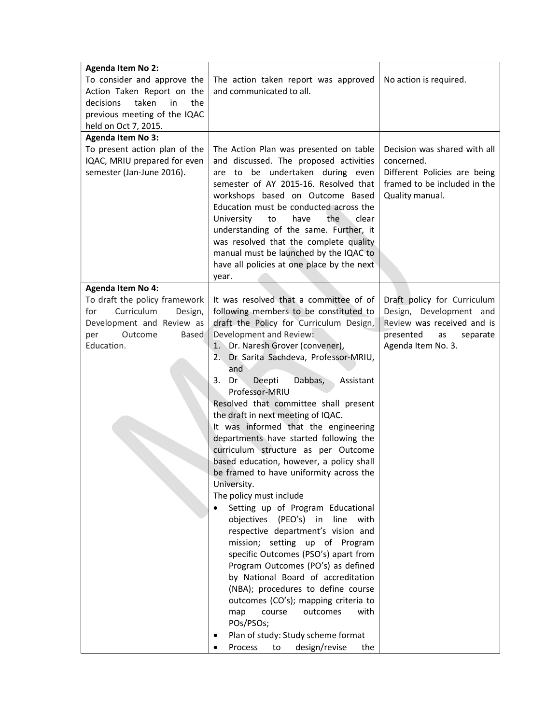| <b>Agenda Item No 2:</b><br>To consider and approve the<br>Action Taken Report on the<br>decisions<br>taken<br>in<br>the<br>previous meeting of the IQAC<br>held on Oct 7, 2015.<br><b>Agenda Item No 3:</b> | The action taken report was approved<br>and communicated to all.                                                                                                                                                                                                                                                                                                                                                                                                                                                                                                                                                                                                                                                                                                                                                                                                                                                                                                                                                                                                                                                                                    | No action is required.                                                                                                                    |
|--------------------------------------------------------------------------------------------------------------------------------------------------------------------------------------------------------------|-----------------------------------------------------------------------------------------------------------------------------------------------------------------------------------------------------------------------------------------------------------------------------------------------------------------------------------------------------------------------------------------------------------------------------------------------------------------------------------------------------------------------------------------------------------------------------------------------------------------------------------------------------------------------------------------------------------------------------------------------------------------------------------------------------------------------------------------------------------------------------------------------------------------------------------------------------------------------------------------------------------------------------------------------------------------------------------------------------------------------------------------------------|-------------------------------------------------------------------------------------------------------------------------------------------|
| To present action plan of the<br>IQAC, MRIU prepared for even<br>semester (Jan-June 2016).                                                                                                                   | The Action Plan was presented on table<br>and discussed. The proposed activities<br>are to be undertaken during even<br>semester of AY 2015-16. Resolved that<br>workshops based on Outcome Based<br>Education must be conducted across the<br>University<br>have<br>the<br>clear<br>to<br>understanding of the same. Further, it<br>was resolved that the complete quality<br>manual must be launched by the IQAC to<br>have all policies at one place by the next<br>year.                                                                                                                                                                                                                                                                                                                                                                                                                                                                                                                                                                                                                                                                        | Decision was shared with all<br>concerned.<br>Different Policies are being<br>framed to be included in the<br>Quality manual.             |
| <b>Agenda Item No 4:</b><br>To draft the policy framework<br>Curriculum<br>for<br>Design,<br>Development and Review as<br>per<br>Outcome<br><b>Based</b><br>Education.                                       | It was resolved that a committee of of<br>following members to be constituted to<br>draft the Policy for Curriculum Design,<br>Development and Review:<br>1. Dr. Naresh Grover (convener),<br>Dr Sarita Sachdeva, Professor-MRIU,<br>2.<br>and<br>Assistant<br>3.<br>Dr<br>Deepti<br>Dabbas,<br>Professor-MRIU<br>Resolved that committee shall present<br>the draft in next meeting of IQAC.<br>It was informed that the engineering<br>departments have started following the<br>curriculum structure as per Outcome<br>based education, however, a policy shall<br>be framed to have uniformity across the<br>University.<br>The policy must include<br>Setting up of Program Educational<br>objectives (PEO's)<br>in<br>line<br>with<br>respective department's vision and<br>mission; setting up of Program<br>specific Outcomes (PSO's) apart from<br>Program Outcomes (PO's) as defined<br>by National Board of accreditation<br>(NBA); procedures to define course<br>outcomes (CO's); mapping criteria to<br>course<br>outcomes<br>map<br>with<br>POs/PSOs;<br>Plan of study: Study scheme format<br>design/revise<br>Process<br>to<br>the | Draft policy for Curriculum<br>Design, Development and<br>Review was received and is<br>presented<br>as<br>separate<br>Agenda Item No. 3. |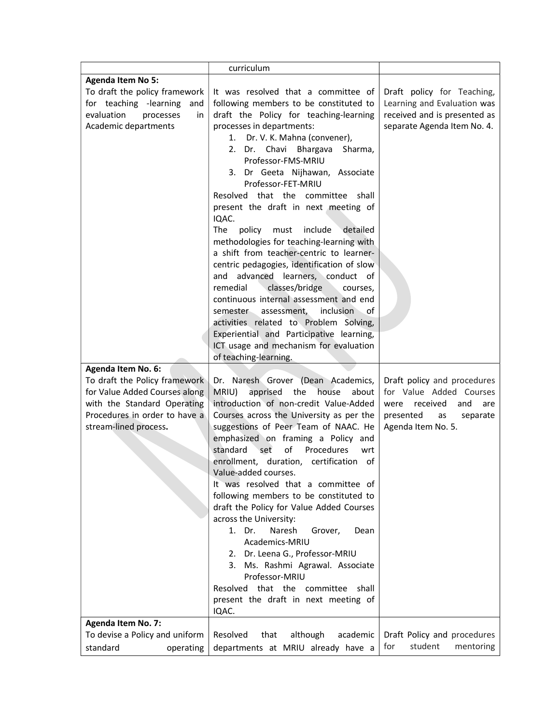|                                | curriculum                                 |                              |
|--------------------------------|--------------------------------------------|------------------------------|
| <b>Agenda Item No 5:</b>       |                                            |                              |
| To draft the policy framework  | It was resolved that a committee of        | Draft policy for Teaching,   |
| for teaching -learning<br>and  | following members to be constituted to     | Learning and Evaluation was  |
| evaluation<br>processes<br>in  | draft the Policy for teaching-learning     | received and is presented as |
| Academic departments           | processes in departments:                  | separate Agenda Item No. 4.  |
|                                | 1. Dr. V. K. Mahna (convener),             |                              |
|                                | 2. Dr. Chavi Bhargava<br>Sharma,           |                              |
|                                | Professor-FMS-MRIU                         |                              |
|                                |                                            |                              |
|                                | 3. Dr Geeta Nijhawan, Associate            |                              |
|                                | Professor-FET-MRIU                         |                              |
|                                | Resolved that the committee shall          |                              |
|                                | present the draft in next meeting of       |                              |
|                                | IQAC.                                      |                              |
|                                | The<br>policy must<br>include<br>detailed  |                              |
|                                | methodologies for teaching-learning with   |                              |
|                                | a shift from teacher-centric to learner-   |                              |
|                                | centric pedagogies, identification of slow |                              |
|                                | advanced learners, conduct of<br>and       |                              |
|                                | classes/bridge<br>remedial<br>courses,     |                              |
|                                | continuous internal assessment and end     |                              |
|                                | inclusion<br>semester assessment,<br>0f    |                              |
|                                | activities related to Problem Solving,     |                              |
|                                | Experiential and Participative learning,   |                              |
|                                | ICT usage and mechanism for evaluation     |                              |
|                                | of teaching-learning.                      |                              |
| <b>Agenda Item No. 6:</b>      |                                            |                              |
| To draft the Policy framework  | Dr. Naresh Grover (Dean Academics,         | Draft policy and procedures  |
| for Value Added Courses along  | MRIU)<br>apprised<br>the<br>house<br>about | for Value Added Courses      |
| with the Standard Operating    | introduction of non-credit Value-Added     | were received<br>and<br>are  |
| Procedures in order to have a  | Courses across the University as per the   | presented<br>as<br>separate  |
| stream-lined process.          | suggestions of Peer Team of NAAC. He       | Agenda Item No. 5.           |
|                                | emphasized on framing a Policy and         |                              |
|                                | of<br>standard<br>set<br>Procedures<br>wrt |                              |
|                                | enrollment, duration, certification of     |                              |
|                                | Value-added courses.                       |                              |
|                                | It was resolved that a committee of        |                              |
|                                | following members to be constituted to     |                              |
|                                | draft the Policy for Value Added Courses   |                              |
|                                | across the University:                     |                              |
|                                | 1. Dr.<br>Naresh<br>Grover,<br>Dean        |                              |
|                                | Academics-MRIU                             |                              |
|                                | 2. Dr. Leena G., Professor-MRIU            |                              |
|                                | 3. Ms. Rashmi Agrawal. Associate           |                              |
|                                | Professor-MRIU                             |                              |
|                                | Resolved that the committee<br>shall       |                              |
|                                | present the draft in next meeting of       |                              |
|                                | IQAC.                                      |                              |
| <b>Agenda Item No. 7:</b>      |                                            |                              |
| To devise a Policy and uniform | although<br>Resolved<br>that<br>academic   | Draft Policy and procedures  |
| standard<br>operating          | departments at MRIU already have a         | student<br>for<br>mentoring  |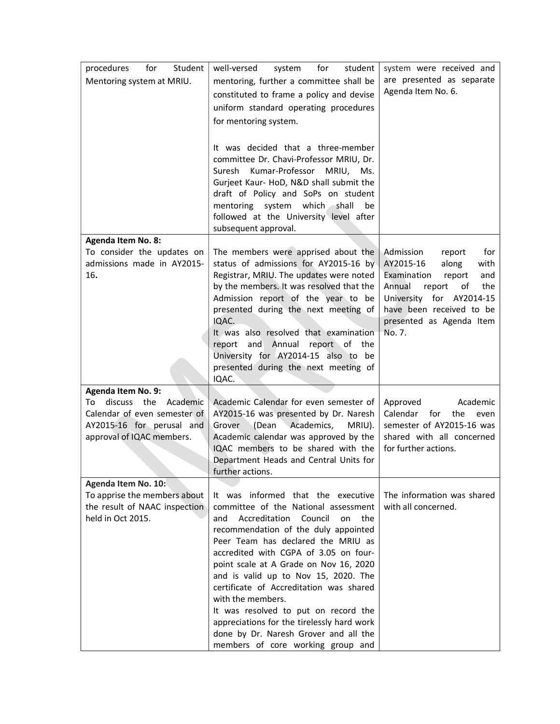| Student<br>procedures<br>for<br>Mentoring system at MRIU.                                                                                            | well-versed<br>for<br>student<br>system<br>mentoring, further a committee shall be<br>constituted to frame a policy and devise<br>uniform standard operating procedures<br>for mentoring system.<br>It was decided that a three-member<br>committee Dr. Chavi-Professor MRIU, Dr.<br>Suresh<br>Kumar-Professor<br>MRIU, Ms.<br>Gurjeet Kaur- HoD, N&D shall submit the<br>draft of Policy and SoPs on student<br>which shall<br>mentoring system<br>be<br>followed at the University level after<br>subsequent approval.                                             | system were received and<br>are presented as separate<br>Agenda Item No. 6.                                                                                                                                             |
|------------------------------------------------------------------------------------------------------------------------------------------------------|----------------------------------------------------------------------------------------------------------------------------------------------------------------------------------------------------------------------------------------------------------------------------------------------------------------------------------------------------------------------------------------------------------------------------------------------------------------------------------------------------------------------------------------------------------------------|-------------------------------------------------------------------------------------------------------------------------------------------------------------------------------------------------------------------------|
| <b>Agenda Item No. 8:</b><br>To consider the updates on<br>admissions made in AY2015-<br>16.                                                         | The members were apprised about the<br>status of admissions for AY2015-16 by<br>Registrar, MRIU. The updates were noted<br>by the members. It was resolved that the<br>Admission report of the year to be<br>presented during the next meeting of<br>IQAC.<br>It was also resolved that examination<br>report and Annual report of the<br>University for AY2014-15 also to be<br>presented during the next meeting of<br>IQAC.                                                                                                                                       | Admission<br>for<br>report<br>AY2015-16<br>along<br>with<br>Examination<br>report<br>and<br>Annual<br>report<br>the<br>of<br>University for AY2014-15<br>have been received to be<br>presented as Agenda Item<br>No. 7. |
| <b>Agenda Item No. 9:</b><br>discuss the<br>To<br>Academic<br>Calendar of even semester of<br>AY2015-16 for perusal and<br>approval of IQAC members. | Academic Calendar for even semester of<br>AY2015-16 was presented by Dr. Naresh<br>Grover<br>(Dean Academics,<br>MRIU).<br>Academic calendar was approved by the<br>IQAC members to be shared with the<br>Department Heads and Central Units for<br>further actions.                                                                                                                                                                                                                                                                                                 | Approved<br>Academic<br>Calendar<br>for<br>the<br>even<br>semester of AY2015-16 was<br>shared with all concerned<br>for further actions.                                                                                |
| Agenda Item No. 10:<br>To apprise the members about<br>the result of NAAC inspection<br>held in Oct 2015.                                            | It was informed that the executive<br>committee of the National assessment<br>Accreditation<br>Council<br>and<br>on the<br>recommendation of the duly appointed<br>Peer Team has declared the MRIU as<br>accredited with CGPA of 3.05 on four-<br>point scale at A Grade on Nov 16, 2020<br>and is valid up to Nov 15, 2020. The<br>certificate of Accreditation was shared<br>with the members.<br>It was resolved to put on record the<br>appreciations for the tirelessly hard work<br>done by Dr. Naresh Grover and all the<br>members of core working group and | The information was shared<br>with all concerned.                                                                                                                                                                       |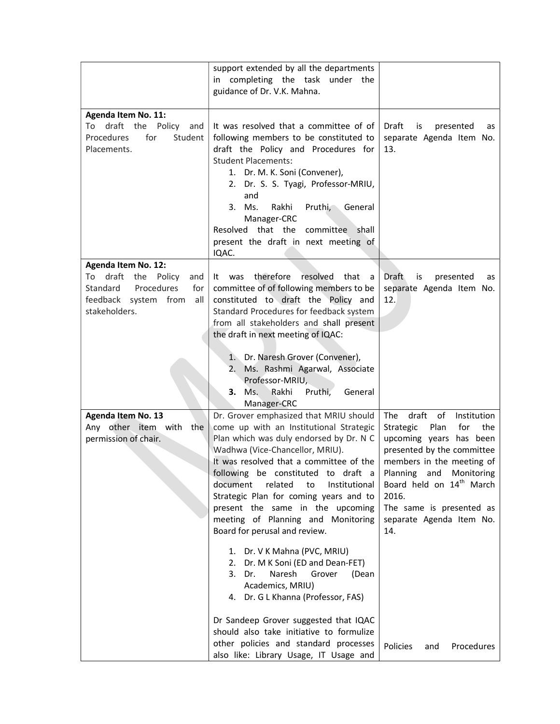|                                                                                                                                             | support extended by all the departments<br>in completing the task under the<br>guidance of Dr. V.K. Mahna.                                                                                                                                                                                                                                                                                                                                                                                                                                                                                                                                                                                                                                                                                               |                                                                                                                                                                                                                                                                                                                                               |
|---------------------------------------------------------------------------------------------------------------------------------------------|----------------------------------------------------------------------------------------------------------------------------------------------------------------------------------------------------------------------------------------------------------------------------------------------------------------------------------------------------------------------------------------------------------------------------------------------------------------------------------------------------------------------------------------------------------------------------------------------------------------------------------------------------------------------------------------------------------------------------------------------------------------------------------------------------------|-----------------------------------------------------------------------------------------------------------------------------------------------------------------------------------------------------------------------------------------------------------------------------------------------------------------------------------------------|
| <b>Agenda Item No. 11:</b><br>draft the Policy<br>To<br>and<br>Procedures<br>for<br>Student<br>Placements.                                  | It was resolved that a committee of of<br>following members to be constituted to<br>draft the Policy and Procedures for<br><b>Student Placements:</b><br>1. Dr. M. K. Soni (Convener),<br>2. Dr. S. S. Tyagi, Professor-MRIU,<br>and<br>3. Ms.<br>Rakhi<br>Pruthi,<br>General<br>Manager-CRC<br>Resolved that the committee shall<br>present the draft in next meeting of<br>IQAC.                                                                                                                                                                                                                                                                                                                                                                                                                       | Draft<br>is<br>presented<br>as<br>separate Agenda Item No.<br>13.                                                                                                                                                                                                                                                                             |
| Agenda Item No. 12:<br>draft<br>the<br>Policy<br>To<br>and<br>Procedures<br>Standard<br>for<br>feedback system from<br>all<br>stakeholders. | therefore<br>resolved<br>that<br>was<br>It.<br>a<br>committee of of following members to be<br>constituted to draft the Policy and<br>Standard Procedures for feedback system<br>from all stakeholders and shall present<br>the draft in next meeting of IQAC:<br>1. Dr. Naresh Grover (Convener),<br>2. Ms. Rashmi Agarwal, Associate<br>Professor-MRIU,<br>Ms.<br>Pruthi,<br>Rakhi<br>General<br>3.<br>Manager-CRC                                                                                                                                                                                                                                                                                                                                                                                     | Draft<br>is<br>presented<br>as<br>separate Agenda Item No.<br>12.                                                                                                                                                                                                                                                                             |
| Agenda Item No. 13<br>Any other item with<br>the<br>permission of chair.                                                                    | Dr. Grover emphasized that MRIU should<br>come up with an Institutional Strategic<br>Plan which was duly endorsed by Dr. N C<br>Wadhwa (Vice-Chancellor, MRIU).<br>It was resolved that a committee of the<br>following be constituted to draft a<br>document<br>related<br>to<br>Institutional<br>Strategic Plan for coming years and to<br>present the same in the upcoming<br>meeting of Planning and Monitoring<br>Board for perusal and review.<br>1. Dr. V K Mahna (PVC, MRIU)<br>Dr. M K Soni (ED and Dean-FET)<br>2.<br>Naresh<br>3.<br>Dr.<br>Grover<br>(Dean<br>Academics, MRIU)<br>4. Dr. G L Khanna (Professor, FAS)<br>Dr Sandeep Grover suggested that IQAC<br>should also take initiative to formulize<br>other policies and standard processes<br>also like: Library Usage, IT Usage and | draft<br>of<br>Institution<br>The<br>Strategic<br>Plan<br>for<br>the<br>upcoming years has been<br>presented by the committee<br>members in the meeting of<br>Planning and Monitoring<br>Board held on 14 <sup>th</sup> March<br>2016.<br>The same is presented as<br>separate Agenda Item No.<br>14.<br><b>Policies</b><br>Procedures<br>and |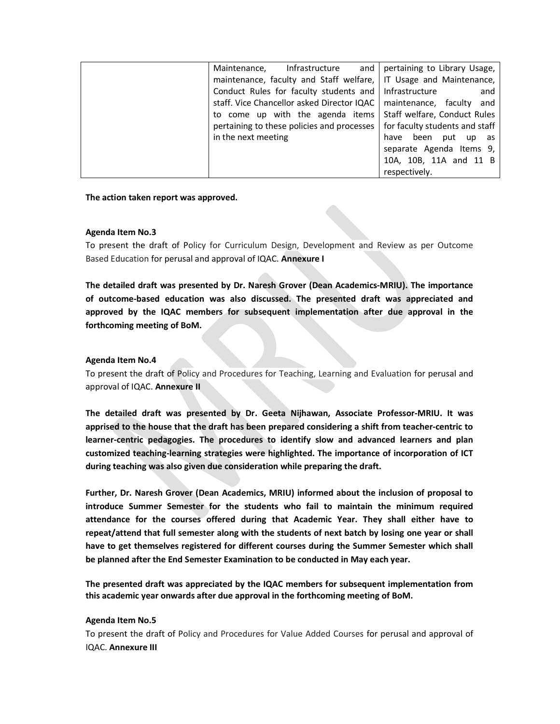| and $ $<br>Infrastructure<br>Maintenance,  | pertaining to Library Usage,   |
|--------------------------------------------|--------------------------------|
| maintenance, faculty and Staff welfare,    | IT Usage and Maintenance,      |
| Conduct Rules for faculty students and     | Infrastructure<br>and          |
| staff. Vice Chancellor asked Director IQAC | maintenance, faculty and       |
| to come up with the agenda items           | Staff welfare, Conduct Rules   |
| pertaining to these policies and processes | for faculty students and staff |
| in the next meeting                        | been<br>put up as<br>have      |
|                                            | separate Agenda Items 9,       |
|                                            | 10A, 10B, 11A and 11 B         |
|                                            | respectively.                  |

The action taken report was approved.

#### Agenda Item No.3

To present the draft of Policy for Curriculum Design, Development and Review as per Outcome Based Education for perusal and approval of IQAC. Annexure I

The detailed draft was presented by Dr. Naresh Grover (Dean Academics-MRIU). The importance of outcome-based education was also discussed. The presented draft was appreciated and approved by the IQAC members for subsequent implementation after due approval in the forthcoming meeting of BoM.

#### Agenda Item No.4

To present the draft of Policy and Procedures for Teaching, Learning and Evaluation for perusal and approval of IQAC. Annexure II

The detailed draft was presented by Dr. Geeta Nijhawan, Associate Professor-MRIU. It was apprised to the house that the draft has been prepared considering a shift from teacher-centric to learner-centric pedagogies. The procedures to identify slow and advanced learners and plan customized teaching-learning strategies were highlighted. The importance of incorporation of ICT during teaching was also given due consideration while preparing the draft.

Further, Dr. Naresh Grover (Dean Academics, MRIU) informed about the inclusion of proposal to introduce Summer Semester for the students who fail to maintain the minimum required attendance for the courses offered during that Academic Year. They shall either have to repeat/attend that full semester along with the students of next batch by losing one year or shall have to get themselves registered for different courses during the Summer Semester which shall be planned after the End Semester Examination to be conducted in May each year.

The presented draft was appreciated by the IQAC members for subsequent implementation from this academic year onwards after due approval in the forthcoming meeting of BoM.

#### Agenda Item No.5

To present the draft of Policy and Procedures for Value Added Courses for perusal and approval of IQAC. Annexure III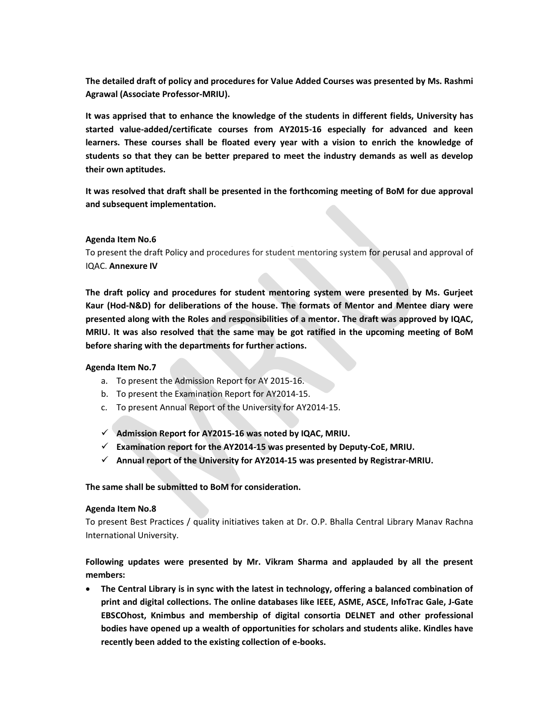The detailed draft of policy and procedures for Value Added Courses was presented by Ms. Rashmi Agrawal (Associate Professor-MRIU).

It was apprised that to enhance the knowledge of the students in different fields, University has started value-added/certificate courses from AY2015-16 especially for advanced and keen learners. These courses shall be floated every year with a vision to enrich the knowledge of students so that they can be better prepared to meet the industry demands as well as develop their own aptitudes.

It was resolved that draft shall be presented in the forthcoming meeting of BoM for due approval and subsequent implementation.

#### Agenda Item No.6

To present the draft Policy and procedures for student mentoring system for perusal and approval of IQAC. Annexure IV

The draft policy and procedures for student mentoring system were presented by Ms. Gurjeet Kaur (Hod-N&D) for deliberations of the house. The formats of Mentor and Mentee diary were presented along with the Roles and responsibilities of a mentor. The draft was approved by IQAC, MRIU. It was also resolved that the same may be got ratified in the upcoming meeting of BoM before sharing with the departments for further actions.

#### Agenda Item No.7

- a. To present the Admission Report for AY 2015-16.
- b. To present the Examination Report for AY2014-15.
- c. To present Annual Report of the University for AY2014-15.
- $\checkmark$  Admission Report for AY2015-16 was noted by IQAC, MRIU.
- $\checkmark$  Examination report for the AY2014-15 was presented by Deputy-CoE, MRIU.
- $\checkmark$  Annual report of the University for AY2014-15 was presented by Registrar-MRIU.

#### The same shall be submitted to BoM for consideration.

#### Agenda Item No.8

To present Best Practices / quality initiatives taken at Dr. O.P. Bhalla Central Library Manav Rachna International University.

## Following updates were presented by Mr. Vikram Sharma and applauded by all the present members:

 The Central Library is in sync with the latest in technology, offering a balanced combination of print and digital collections. The online databases like IEEE, ASME, ASCE, InfoTrac Gale, J-Gate EBSCOhost, Knimbus and membership of digital consortia DELNET and other professional bodies have opened up a wealth of opportunities for scholars and students alike. Kindles have recently been added to the existing collection of e-books.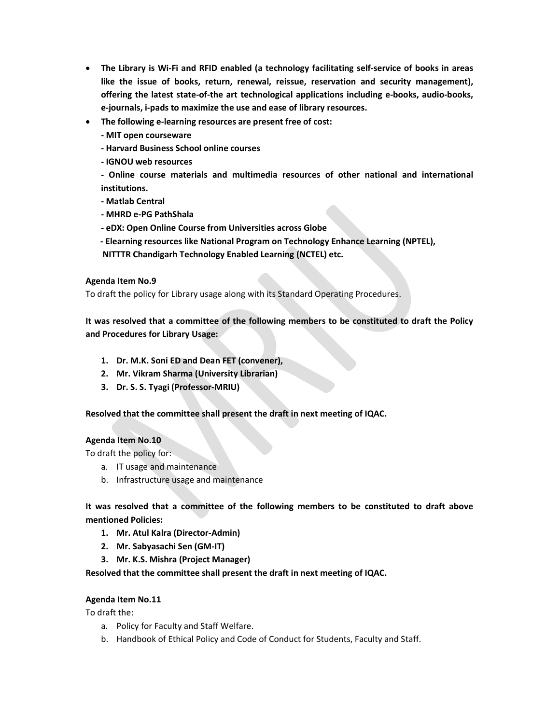- The Library is Wi-Fi and RFID enabled (a technology facilitating self-service of books in areas like the issue of books, return, renewal, reissue, reservation and security management), offering the latest state-of-the art technological applications including e-books, audio-books, e-journals, i-pads to maximize the use and ease of library resources.
- The following e-learning resources are present free of cost:
	- MIT open courseware
	- Harvard Business School online courses
	- IGNOU web resources
	- Online course materials and multimedia resources of other national and international institutions.
	- Matlab Central
	- MHRD e-PG PathShala
	- eDX: Open Online Course from Universities across Globe
	- Elearning resources like National Program on Technology Enhance Learning (NPTEL),
	- NITTTR Chandigarh Technology Enabled Learning (NCTEL) etc.

## Agenda Item No.9

To draft the policy for Library usage along with its Standard Operating Procedures.

It was resolved that a committee of the following members to be constituted to draft the Policy and Procedures for Library Usage:

- 1. Dr. M.K. Soni ED and Dean FET (convener),
- 2. Mr. Vikram Sharma (University Librarian)
- 3. Dr. S. S. Tyagi (Professor-MRIU)

Resolved that the committee shall present the draft in next meeting of IQAC.

## Agenda Item No.10

To draft the policy for:

- a. IT usage and maintenance
- b. Infrastructure usage and maintenance

It was resolved that a committee of the following members to be constituted to draft above mentioned Policies:

- 1. Mr. Atul Kalra (Director-Admin)
- 2. Mr. Sabyasachi Sen (GM-IT)
- 3. Mr. K.S. Mishra (Project Manager)

Resolved that the committee shall present the draft in next meeting of IQAC.

## Agenda Item No.11

To draft the:

- a. Policy for Faculty and Staff Welfare.
- b. Handbook of Ethical Policy and Code of Conduct for Students, Faculty and Staff.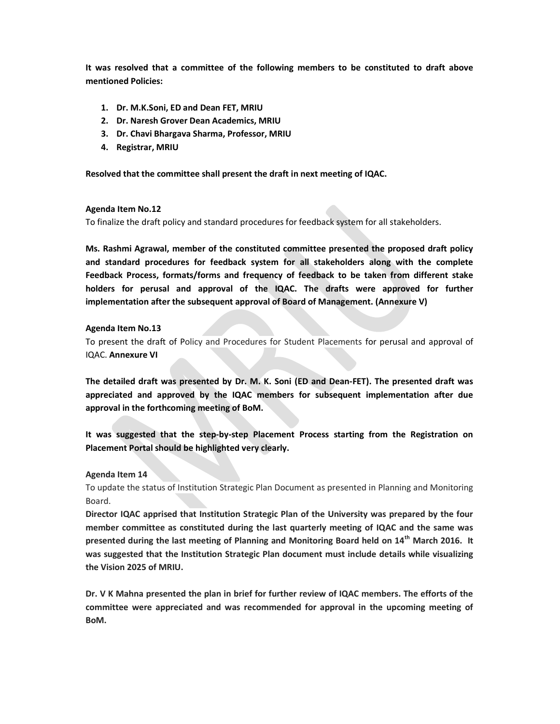It was resolved that a committee of the following members to be constituted to draft above mentioned Policies:

- 1. Dr. M.K.Soni, ED and Dean FET, MRIU
- 2. Dr. Naresh Grover Dean Academics, MRIU
- 3. Dr. Chavi Bhargava Sharma, Professor, MRIU
- 4. Registrar, MRIU

### Resolved that the committee shall present the draft in next meeting of IQAC.

#### Agenda Item No.12

To finalize the draft policy and standard procedures for feedback system for all stakeholders.

Ms. Rashmi Agrawal, member of the constituted committee presented the proposed draft policy and standard procedures for feedback system for all stakeholders along with the complete Feedback Process, formats/forms and frequency of feedback to be taken from different stake holders for perusal and approval of the IQAC. The drafts were approved for further implementation after the subsequent approval of Board of Management. (Annexure V)

#### Agenda Item No.13

To present the draft of Policy and Procedures for Student Placements for perusal and approval of IQAC. Annexure VI

The detailed draft was presented by Dr. M. K. Soni (ED and Dean-FET). The presented draft was appreciated and approved by the IQAC members for subsequent implementation after due approval in the forthcoming meeting of BoM.

It was suggested that the step-by-step Placement Process starting from the Registration on Placement Portal should be highlighted very clearly.

#### Agenda Item 14

To update the status of Institution Strategic Plan Document as presented in Planning and Monitoring Board.

Director IQAC apprised that Institution Strategic Plan of the University was prepared by the four member committee as constituted during the last quarterly meeting of IQAC and the same was presented during the last meeting of Planning and Monitoring Board held on 14<sup>th</sup> March 2016. It was suggested that the Institution Strategic Plan document must include details while visualizing the Vision 2025 of MRIU.

Dr. V K Mahna presented the plan in brief for further review of IQAC members. The efforts of the committee were appreciated and was recommended for approval in the upcoming meeting of BoM.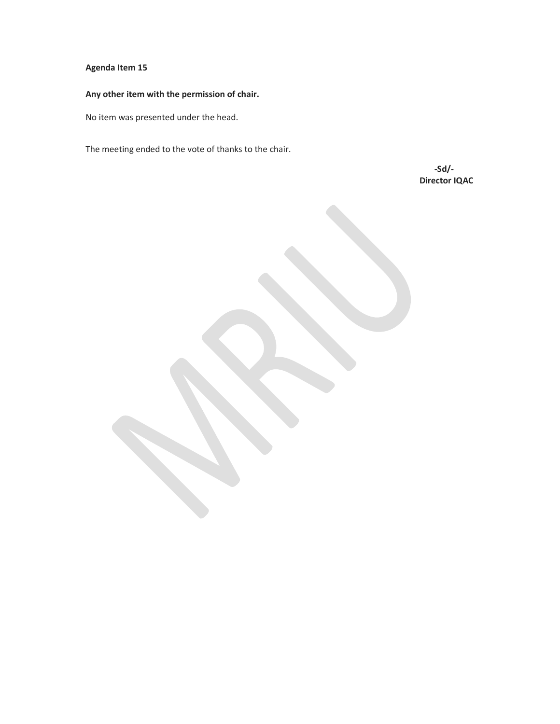## Agenda Item 15

# Any other item with the permission of chair.

No item was presented under the head.

The meeting ended to the vote of thanks to the chair.

 -Sd/- Director IQAC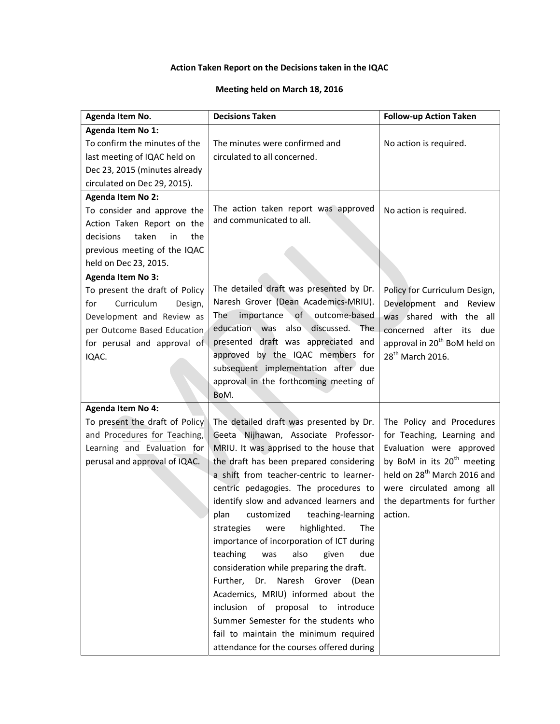# Action Taken Report on the Decisions taken in the IQAC

## Meeting held on March 18, 2016

| Agenda Item No.                 | <b>Decisions Taken</b>                            | <b>Follow-up Action Taken</b>            |
|---------------------------------|---------------------------------------------------|------------------------------------------|
| Agenda Item No 1:               |                                                   |                                          |
| To confirm the minutes of the   | The minutes were confirmed and                    | No action is required.                   |
| last meeting of IQAC held on    | circulated to all concerned.                      |                                          |
| Dec 23, 2015 (minutes already   |                                                   |                                          |
| circulated on Dec 29, 2015).    |                                                   |                                          |
| <b>Agenda Item No 2:</b>        |                                                   |                                          |
| To consider and approve the     | The action taken report was approved              | No action is required.                   |
| Action Taken Report on the      | and communicated to all.                          |                                          |
| taken<br>decisions<br>in<br>the |                                                   |                                          |
| previous meeting of the IQAC    |                                                   |                                          |
| held on Dec 23, 2015.           |                                                   |                                          |
| <b>Agenda Item No 3:</b>        |                                                   |                                          |
| To present the draft of Policy  | The detailed draft was presented by Dr.           | Policy for Curriculum Design,            |
| Curriculum<br>for<br>Design,    | Naresh Grover (Dean Academics-MRIU).              | Development and Review                   |
| Development and Review as       | importance of outcome-based<br>The                | was shared with the all                  |
| per Outcome Based Education     | <b>The</b><br>education was<br>also<br>discussed. | concerned after<br>its due               |
| for perusal and approval of     | presented draft was appreciated and               | approval in 20 <sup>th</sup> BoM held on |
| IQAC.                           | approved by the IQAC members for                  | 28 <sup>th</sup> March 2016.             |
|                                 | subsequent implementation after due               |                                          |
|                                 | approval in the forthcoming meeting of            |                                          |
|                                 | BoM.                                              |                                          |
| <b>Agenda Item No 4:</b>        |                                                   |                                          |
| To present the draft of Policy  | The detailed draft was presented by Dr.           | The Policy and Procedures                |
| and Procedures for Teaching,    | Geeta Nijhawan, Associate Professor-              | for Teaching, Learning and               |
| Learning and Evaluation for     | MRIU. It was apprised to the house that           | Evaluation were approved                 |
| perusal and approval of IQAC.   | the draft has been prepared considering           | by BoM in its 20 <sup>th</sup> meeting   |
|                                 | a shift from teacher-centric to learner-          | held on 28 <sup>th</sup> March 2016 and  |
|                                 | centric pedagogies. The procedures to             | were circulated among all                |
|                                 | identify slow and advanced learners and           | the departments for further              |
|                                 | customized<br>teaching-learning<br>plan           | action.                                  |
|                                 | strategies<br>highlighted.<br>The<br>were         |                                          |
|                                 | importance of incorporation of ICT during         |                                          |
|                                 | teaching<br>also<br>due<br>was<br>given           |                                          |
|                                 | consideration while preparing the draft.          |                                          |
|                                 | Further, Dr. Naresh Grover (Dean                  |                                          |
|                                 | Academics, MRIU) informed about the               |                                          |
|                                 | inclusion of<br>proposal to<br>introduce          |                                          |
|                                 | Summer Semester for the students who              |                                          |
|                                 | fail to maintain the minimum required             |                                          |
|                                 | attendance for the courses offered during         |                                          |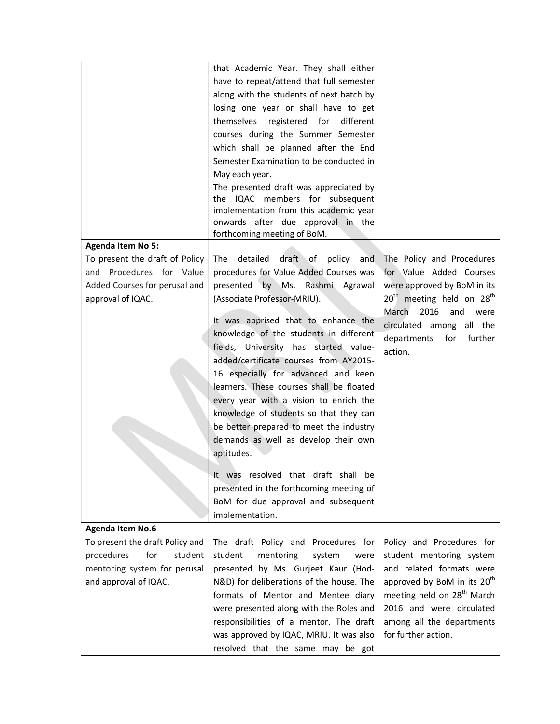|                                                                                                                  | that Academic Year. They shall either<br>have to repeat/attend that full semester<br>along with the students of next batch by<br>losing one year or shall have to get<br>themselves registered for<br>different<br>courses during the Summer Semester<br>which shall be planned after the End<br>Semester Examination to be conducted in<br>May each year.<br>The presented draft was appreciated by                                                                                                                                                                                                                                                                                                                                       |                                                                                                                                                                                                                              |
|------------------------------------------------------------------------------------------------------------------|--------------------------------------------------------------------------------------------------------------------------------------------------------------------------------------------------------------------------------------------------------------------------------------------------------------------------------------------------------------------------------------------------------------------------------------------------------------------------------------------------------------------------------------------------------------------------------------------------------------------------------------------------------------------------------------------------------------------------------------------|------------------------------------------------------------------------------------------------------------------------------------------------------------------------------------------------------------------------------|
| <b>Agenda Item No 5:</b>                                                                                         | the IQAC members for subsequent<br>implementation from this academic year<br>onwards after due approval in the<br>forthcoming meeting of BoM.                                                                                                                                                                                                                                                                                                                                                                                                                                                                                                                                                                                              |                                                                                                                                                                                                                              |
| To present the draft of Policy<br>and Procedures for Value<br>Added Courses for perusal and<br>approval of IQAC. | detailed draft of policy<br>The<br>and<br>procedures for Value Added Courses was<br>presented by Ms. Rashmi Agrawal<br>(Associate Professor-MRIU).<br>It was apprised that to enhance the<br>knowledge of the students in different<br>fields, University has started value-<br>added/certificate courses from AY2015-<br>16 especially for advanced and keen<br>learners. These courses shall be floated<br>every year with a vision to enrich the<br>knowledge of students so that they can<br>be better prepared to meet the industry<br>demands as well as develop their own<br>aptitudes.<br>It was resolved that draft shall be<br>presented in the forthcoming meeting of<br>BoM for due approval and subsequent<br>implementation. | The Policy and Procedures<br>for Value Added Courses<br>were approved by BoM in its<br>$20th$ meeting held on $28th$<br>2016<br>March<br>and<br>were<br>circulated among all the<br>departments<br>further<br>for<br>action. |
| <b>Agenda Item No.6</b><br>To present the draft Policy and                                                       | The draft Policy and Procedures for                                                                                                                                                                                                                                                                                                                                                                                                                                                                                                                                                                                                                                                                                                        | Policy and Procedures for                                                                                                                                                                                                    |
| student<br>procedures<br>for<br>mentoring system for perusal<br>and approval of IQAC.                            | student<br>mentoring<br>system<br>were<br>presented by Ms. Gurjeet Kaur (Hod-<br>N&D) for deliberations of the house. The<br>formats of Mentor and Mentee diary<br>were presented along with the Roles and<br>responsibilities of a mentor. The draft<br>was approved by IQAC, MRIU. It was also<br>resolved that the same may be got                                                                                                                                                                                                                                                                                                                                                                                                      | student mentoring system<br>and related formats were<br>approved by BoM in its 20 <sup>th</sup><br>meeting held on 28 <sup>th</sup> March<br>2016 and were circulated<br>among all the departments<br>for further action.    |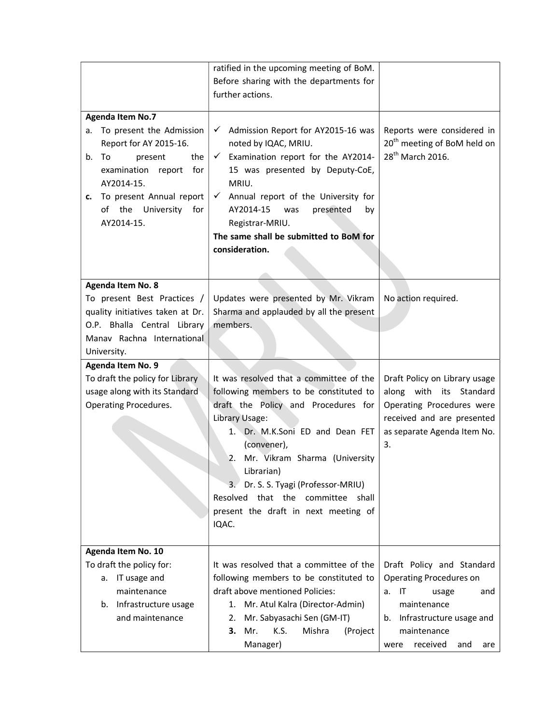|                                                                                                                                                                                                                                          | ratified in the upcoming meeting of BoM.<br>Before sharing with the departments for<br>further actions.                                                                                                                                                                                                                                     |                                                                                                       |
|------------------------------------------------------------------------------------------------------------------------------------------------------------------------------------------------------------------------------------------|---------------------------------------------------------------------------------------------------------------------------------------------------------------------------------------------------------------------------------------------------------------------------------------------------------------------------------------------|-------------------------------------------------------------------------------------------------------|
| <b>Agenda Item No.7</b><br>To present the Admission<br>a.<br>Report for AY 2015-16.<br>the<br>b.<br>To<br>present<br>for<br>examination<br>report<br>AY2014-15.<br>To present Annual report<br>c.<br>of the University for<br>AY2014-15. | Admission Report for AY2015-16 was<br>✓<br>noted by IQAC, MRIU.<br>Examination report for the AY2014-<br>$\checkmark$<br>15 was presented by Deputy-CoE,<br>MRIU.<br>$\checkmark$ Annual report of the University for<br>AY2014-15<br>was<br>presented<br>by<br>Registrar-MRIU.<br>The same shall be submitted to BoM for<br>consideration. | Reports were considered in<br>20 <sup>th</sup> meeting of BoM held on<br>28 <sup>th</sup> March 2016. |
| Agenda Item No. 8<br>To present Best Practices /                                                                                                                                                                                         | Updates were presented by Mr. Vikram                                                                                                                                                                                                                                                                                                        | No action required.                                                                                   |
| quality initiatives taken at Dr.<br>O.P. Bhalla Central Library                                                                                                                                                                          | Sharma and applauded by all the present<br>members.                                                                                                                                                                                                                                                                                         |                                                                                                       |
| Manav Rachna International                                                                                                                                                                                                               |                                                                                                                                                                                                                                                                                                                                             |                                                                                                       |
| University.                                                                                                                                                                                                                              |                                                                                                                                                                                                                                                                                                                                             |                                                                                                       |
| Agenda Item No. 9                                                                                                                                                                                                                        |                                                                                                                                                                                                                                                                                                                                             |                                                                                                       |
| To draft the policy for Library                                                                                                                                                                                                          | It was resolved that a committee of the                                                                                                                                                                                                                                                                                                     | Draft Policy on Library usage                                                                         |
| usage along with its Standard                                                                                                                                                                                                            | following members to be constituted to                                                                                                                                                                                                                                                                                                      | along with its Standard                                                                               |
| <b>Operating Procedures.</b>                                                                                                                                                                                                             | draft the Policy and Procedures for<br>Library Usage:                                                                                                                                                                                                                                                                                       | Operating Procedures were<br>received and are presented                                               |
|                                                                                                                                                                                                                                          | 1. Dr. M.K.Soni ED and Dean FET                                                                                                                                                                                                                                                                                                             | as separate Agenda Item No.                                                                           |
|                                                                                                                                                                                                                                          | (convener),                                                                                                                                                                                                                                                                                                                                 | 3.                                                                                                    |
|                                                                                                                                                                                                                                          | 2. Mr. Vikram Sharma (University                                                                                                                                                                                                                                                                                                            |                                                                                                       |
|                                                                                                                                                                                                                                          | Librarian)                                                                                                                                                                                                                                                                                                                                  |                                                                                                       |
|                                                                                                                                                                                                                                          | Dr. S. S. Tyagi (Professor-MRIU)<br>3.                                                                                                                                                                                                                                                                                                      |                                                                                                       |
|                                                                                                                                                                                                                                          | Resolved that the committee shall                                                                                                                                                                                                                                                                                                           |                                                                                                       |
|                                                                                                                                                                                                                                          | present the draft in next meeting of                                                                                                                                                                                                                                                                                                        |                                                                                                       |
|                                                                                                                                                                                                                                          | IQAC.                                                                                                                                                                                                                                                                                                                                       |                                                                                                       |
| Agenda Item No. 10                                                                                                                                                                                                                       |                                                                                                                                                                                                                                                                                                                                             |                                                                                                       |
| To draft the policy for:                                                                                                                                                                                                                 | It was resolved that a committee of the                                                                                                                                                                                                                                                                                                     | Draft Policy and Standard                                                                             |
| IT usage and<br>а.                                                                                                                                                                                                                       | following members to be constituted to                                                                                                                                                                                                                                                                                                      | <b>Operating Procedures on</b>                                                                        |
| maintenance                                                                                                                                                                                                                              | draft above mentioned Policies:                                                                                                                                                                                                                                                                                                             | IT<br>a.<br>usage<br>and                                                                              |
| Infrastructure usage<br>b.                                                                                                                                                                                                               | Mr. Atul Kalra (Director-Admin)<br>1.                                                                                                                                                                                                                                                                                                       | maintenance                                                                                           |
| and maintenance                                                                                                                                                                                                                          | Mr. Sabyasachi Sen (GM-IT)<br>2.                                                                                                                                                                                                                                                                                                            | Infrastructure usage and<br>b.                                                                        |
|                                                                                                                                                                                                                                          | Mr.<br>K.S.<br>Mishra<br>З.<br>(Project<br>Manager)                                                                                                                                                                                                                                                                                         | maintenance<br>received<br>and<br>were<br>are                                                         |
|                                                                                                                                                                                                                                          |                                                                                                                                                                                                                                                                                                                                             |                                                                                                       |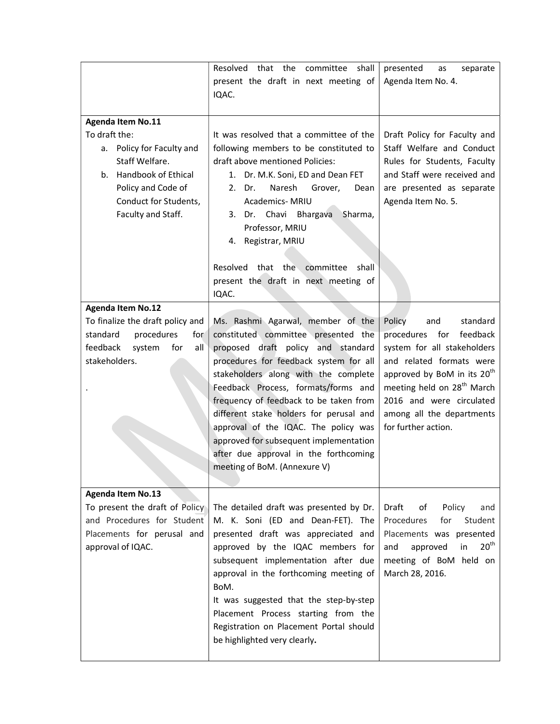|                                                                                                                                                                                               | Resolved that the<br>committee<br>shall<br>present the draft in next meeting of<br>IQAC.                                                                                                                                                                                                                                                                                                                                                                                                | presented<br>separate<br>as<br>Agenda Item No. 4.                                                                                                                                                                                                                                       |
|-----------------------------------------------------------------------------------------------------------------------------------------------------------------------------------------------|-----------------------------------------------------------------------------------------------------------------------------------------------------------------------------------------------------------------------------------------------------------------------------------------------------------------------------------------------------------------------------------------------------------------------------------------------------------------------------------------|-----------------------------------------------------------------------------------------------------------------------------------------------------------------------------------------------------------------------------------------------------------------------------------------|
| <b>Agenda Item No.11</b><br>To draft the:<br>Policy for Faculty and<br>а.<br>Staff Welfare.<br>Handbook of Ethical<br>b.<br>Policy and Code of<br>Conduct for Students,<br>Faculty and Staff. | It was resolved that a committee of the<br>following members to be constituted to<br>draft above mentioned Policies:<br>1. Dr. M.K. Soni, ED and Dean FET<br>Naresh<br>Grover,<br>2. Dr.<br>Dean<br>Academics- MRIU<br>3. Dr. Chavi<br>Bhargava<br>Sharma,<br>Professor, MRIU<br>4. Registrar, MRIU<br>Resolved that the committee<br>shall<br>present the draft in next meeting of<br>IQAC.                                                                                            | Draft Policy for Faculty and<br>Staff Welfare and Conduct<br>Rules for Students, Faculty<br>and Staff were received and<br>are presented as separate<br>Agenda Item No. 5.                                                                                                              |
| <b>Agenda Item No.12</b><br>To finalize the draft policy and<br>procedures<br>standard<br>for<br>feedback<br>system<br>for<br>all<br>stakeholders.                                            | Ms. Rashmi Agarwal, member of the<br>constituted committee presented the<br>proposed draft policy and standard<br>procedures for feedback system for all<br>stakeholders along with the complete<br>Feedback Process, formats/forms and<br>frequency of feedback to be taken from<br>different stake holders for perusal and<br>approval of the IQAC. The policy was<br>approved for subsequent implementation<br>after due approval in the forthcoming<br>meeting of BoM. (Annexure V) | standard<br>and<br>Policy<br>procedures for<br>feedback<br>system for all stakeholders<br>and related formats were<br>approved by BoM in its 20 <sup>th</sup><br>meeting held on 28 <sup>th</sup> March<br>2016 and were circulated<br>among all the departments<br>for further action. |
| <b>Agenda Item No.13</b><br>To present the draft of Policy<br>and Procedures for Student<br>Placements for perusal and<br>approval of IQAC.                                                   | The detailed draft was presented by Dr.<br>M. K. Soni (ED and Dean-FET). The<br>presented draft was appreciated and<br>approved by the IQAC members for<br>subsequent implementation after due<br>approval in the forthcoming meeting of<br>BoM.<br>It was suggested that the step-by-step<br>Placement Process starting from the<br>Registration on Placement Portal should<br>be highlighted very clearly.                                                                            | Draft<br>Policy<br>of<br>and<br>Procedures<br>for<br>Student<br>Placements was presented<br>20 <sup>th</sup><br>approved<br>in<br>and<br>meeting of BoM held on<br>March 28, 2016.                                                                                                      |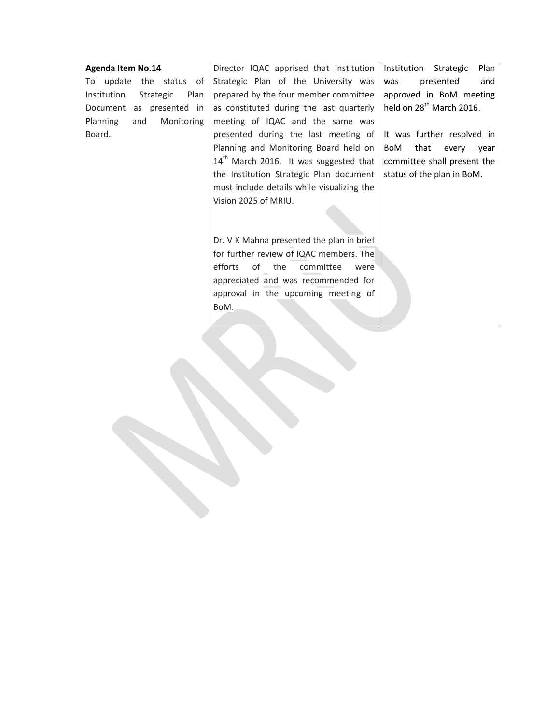| <b>Agenda Item No.14</b>         | Director IQAC apprised that Institution            | Plan<br>Institution<br>Strategic     |
|----------------------------------|----------------------------------------------------|--------------------------------------|
| To update the status of          | Strategic Plan of the University was               | presented<br>and<br>was              |
| Institution<br>Strategic<br>Plan | prepared by the four member committee              | approved in BoM meeting              |
| Document as presented in         | as constituted during the last quarterly           | held on 28 <sup>th</sup> March 2016. |
| Monitoring<br>Planning<br>and    | meeting of IQAC and the same was                   |                                      |
| Board.                           | presented during the last meeting of               | It was further resolved in           |
|                                  | Planning and Monitoring Board held on              | that<br>BoM<br>every<br>vear         |
|                                  | 14 <sup>th</sup> March 2016. It was suggested that | committee shall present the          |
|                                  | the Institution Strategic Plan document            | status of the plan in BoM.           |
|                                  | must include details while visualizing the         |                                      |
|                                  | Vision 2025 of MRIU.                               |                                      |
|                                  |                                                    |                                      |
|                                  |                                                    |                                      |
|                                  | Dr. V K Mahna presented the plan in brief          |                                      |
|                                  | for further review of IQAC members. The            |                                      |
|                                  | of the<br>efforts<br>committee<br>were             |                                      |
|                                  | appreciated and was recommended for                |                                      |
|                                  | approval in the upcoming meeting of                |                                      |
|                                  | BoM.                                               |                                      |
|                                  |                                                    |                                      |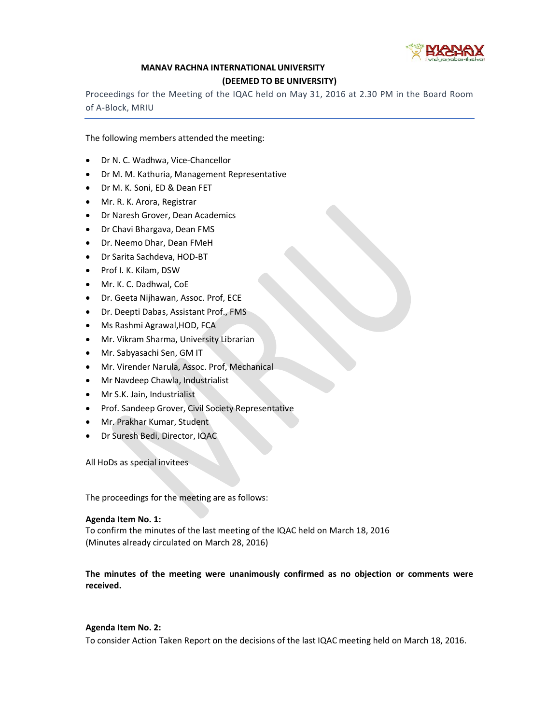

## MANAV RACHNA INTERNATIONAL UNIVERSITY

#### (DEEMED TO BE UNIVERSITY)

Proceedings for the Meeting of the IQAC held on May 31, 2016 at 2.30 PM in the Board Room of A-Block, MRIU

The following members attended the meeting:

- Dr N. C. Wadhwa, Vice-Chancellor
- Dr M. M. Kathuria, Management Representative
- Dr M. K. Soni, ED & Dean FET
- Mr. R. K. Arora, Registrar
- Dr Naresh Grover, Dean Academics
- Dr Chavi Bhargava, Dean FMS
- Dr. Neemo Dhar, Dean FMeH
- Dr Sarita Sachdeva, HOD-BT
- Prof I. K. Kilam, DSW
- Mr. K. C. Dadhwal, CoE
- Dr. Geeta Nijhawan, Assoc. Prof, ECE
- Dr. Deepti Dabas, Assistant Prof., FMS
- Ms Rashmi Agrawal,HOD, FCA
- Mr. Vikram Sharma, University Librarian
- Mr. Sabyasachi Sen, GM IT
- Mr. Virender Narula, Assoc. Prof, Mechanical
- Mr Navdeep Chawla, Industrialist
- Mr S.K. Jain, Industrialist
- Prof. Sandeep Grover, Civil Society Representative
- Mr. Prakhar Kumar, Student
- Dr Suresh Bedi, Director, IQAC

All HoDs as special invitees

The proceedings for the meeting are as follows:

#### Agenda Item No. 1:

To confirm the minutes of the last meeting of the IQAC held on March 18, 2016 (Minutes already circulated on March 28, 2016)

The minutes of the meeting were unanimously confirmed as no objection or comments were received.

## Agenda Item No. 2:

To consider Action Taken Report on the decisions of the last IQAC meeting held on March 18, 2016.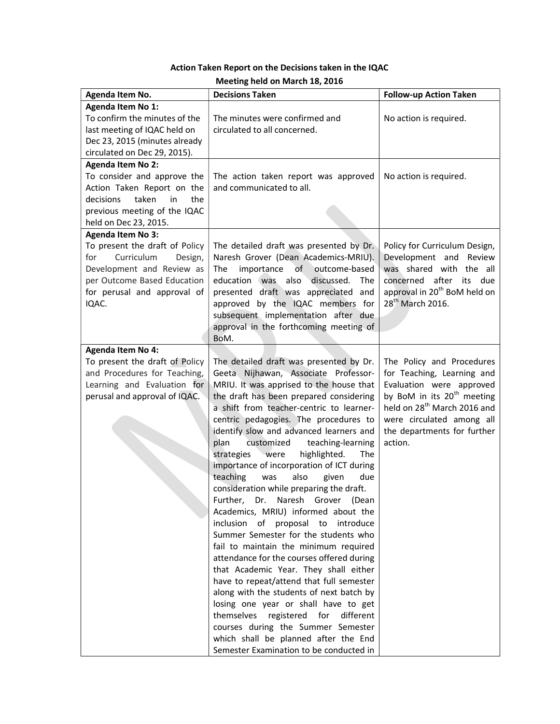# Action Taken Report on the Decisions taken in the IQAC

| Agenda Item No.                                                                                                                                                                                | <b>Decisions Taken</b>                                                                                                                                                                                                                                                                                                                                                                                                                                                                                                                                                                                                                                                                                                                                                                                                                                                                                                                                                                                                                                                                                                                               | <b>Follow-up Action Taken</b>                                                                                                                                                                                                                   |
|------------------------------------------------------------------------------------------------------------------------------------------------------------------------------------------------|------------------------------------------------------------------------------------------------------------------------------------------------------------------------------------------------------------------------------------------------------------------------------------------------------------------------------------------------------------------------------------------------------------------------------------------------------------------------------------------------------------------------------------------------------------------------------------------------------------------------------------------------------------------------------------------------------------------------------------------------------------------------------------------------------------------------------------------------------------------------------------------------------------------------------------------------------------------------------------------------------------------------------------------------------------------------------------------------------------------------------------------------------|-------------------------------------------------------------------------------------------------------------------------------------------------------------------------------------------------------------------------------------------------|
| Agenda Item No 1:<br>To confirm the minutes of the<br>last meeting of IQAC held on<br>Dec 23, 2015 (minutes already<br>circulated on Dec 29, 2015).                                            | The minutes were confirmed and<br>circulated to all concerned.                                                                                                                                                                                                                                                                                                                                                                                                                                                                                                                                                                                                                                                                                                                                                                                                                                                                                                                                                                                                                                                                                       | No action is required.                                                                                                                                                                                                                          |
| <b>Agenda Item No 2:</b><br>To consider and approve the<br>Action Taken Report on the<br>taken<br>the<br>decisions<br>in<br>previous meeting of the IQAC<br>held on Dec 23, 2015.              | The action taken report was approved<br>and communicated to all.                                                                                                                                                                                                                                                                                                                                                                                                                                                                                                                                                                                                                                                                                                                                                                                                                                                                                                                                                                                                                                                                                     | No action is required.                                                                                                                                                                                                                          |
| <b>Agenda Item No 3:</b><br>To present the draft of Policy<br>Curriculum<br>for<br>Design,<br>Development and Review as<br>per Outcome Based Education<br>for perusal and approval of<br>IQAC. | The detailed draft was presented by Dr.<br>Naresh Grover (Dean Academics-MRIU).<br>outcome-based<br>importance<br>of<br><b>The</b><br>education was<br>also<br>discussed.<br><b>The</b><br>presented draft was appreciated and<br>approved by the IQAC members for<br>subsequent implementation after due<br>approval in the forthcoming meeting of<br>BoM.                                                                                                                                                                                                                                                                                                                                                                                                                                                                                                                                                                                                                                                                                                                                                                                          | Policy for Curriculum Design,<br>Development and Review<br>was shared with the all<br>concerned after<br>its due<br>approval in 20 <sup>th</sup> BoM held on<br>28 <sup>th</sup> March 2016.                                                    |
| <b>Agenda Item No 4:</b><br>To present the draft of Policy<br>and Procedures for Teaching,<br>Learning and Evaluation for<br>perusal and approval of IQAC.                                     | The detailed draft was presented by Dr.<br>Geeta Nijhawan, Associate Professor-<br>MRIU. It was apprised to the house that<br>the draft has been prepared considering<br>a shift from teacher-centric to learner-<br>centric pedagogies. The procedures to<br>identify slow and advanced learners and<br>plan<br>teaching-learning<br>customized<br>strategies<br>highlighted.<br>The<br>were<br>importance of incorporation of ICT during<br>teaching<br>also<br>was<br>given<br>due<br>consideration while preparing the draft.<br>Further,<br>Naresh<br>Dr.<br>Grover<br>(Dean<br>Academics, MRIU) informed about the<br>inclusion of<br>proposal to<br>introduce<br>Summer Semester for the students who<br>fail to maintain the minimum required<br>attendance for the courses offered during<br>that Academic Year. They shall either<br>have to repeat/attend that full semester<br>along with the students of next batch by<br>losing one year or shall have to get<br>themselves<br>registered<br>for<br>different<br>courses during the Summer Semester<br>which shall be planned after the End<br>Semester Examination to be conducted in | The Policy and Procedures<br>for Teaching, Learning and<br>Evaluation were approved<br>by BoM in its 20 <sup>th</sup> meeting<br>held on 28 <sup>th</sup> March 2016 and<br>were circulated among all<br>the departments for further<br>action. |

#### Meeting held on March 18, 2016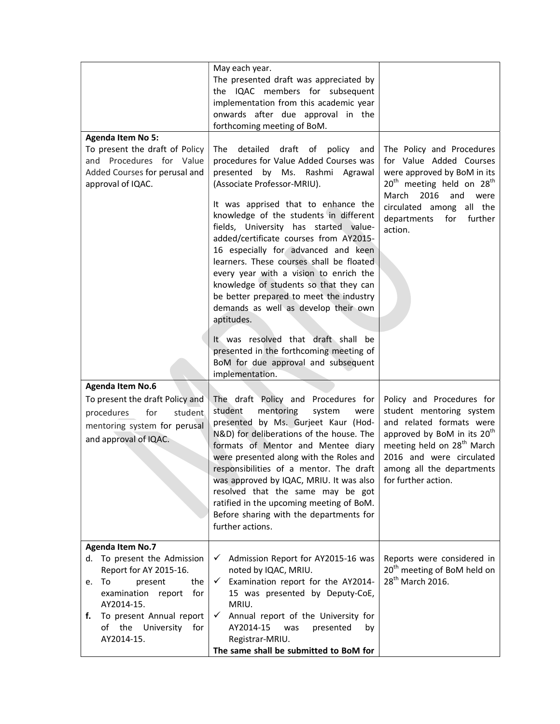|                                                                                                                                                                                                                                          | May each year.<br>The presented draft was appreciated by<br>the IQAC members for subsequent<br>implementation from this academic year<br>onwards after due approval in the<br>forthcoming meeting of BoM.                                                                                                                                                                                                                                                                                                                                                                                                                                                                                                                     |                                                                                                                                                                                                                                                        |
|------------------------------------------------------------------------------------------------------------------------------------------------------------------------------------------------------------------------------------------|-------------------------------------------------------------------------------------------------------------------------------------------------------------------------------------------------------------------------------------------------------------------------------------------------------------------------------------------------------------------------------------------------------------------------------------------------------------------------------------------------------------------------------------------------------------------------------------------------------------------------------------------------------------------------------------------------------------------------------|--------------------------------------------------------------------------------------------------------------------------------------------------------------------------------------------------------------------------------------------------------|
| <b>Agenda Item No 5:</b><br>To present the draft of Policy<br>and Procedures for Value<br>Added Courses for perusal and<br>approval of IQAC.                                                                                             | detailed<br>draft of policy<br>The<br>and<br>procedures for Value Added Courses was<br>presented by Ms.<br>Rashmi Agrawal<br>(Associate Professor-MRIU).<br>It was apprised that to enhance the<br>knowledge of the students in different<br>fields, University has started value-<br>added/certificate courses from AY2015-<br>16 especially for advanced and keen<br>learners. These courses shall be floated<br>every year with a vision to enrich the<br>knowledge of students so that they can<br>be better prepared to meet the industry<br>demands as well as develop their own<br>aptitudes.<br>It was resolved that draft shall be<br>presented in the forthcoming meeting of<br>BoM for due approval and subsequent | The Policy and Procedures<br>for Value Added Courses<br>were approved by BoM in its<br>20 <sup>th</sup> meeting held on 28 <sup>th</sup><br>March 2016<br>and<br>were<br>circulated among all the<br>departments<br>for<br>further<br>action.          |
| <b>Agenda Item No.6</b><br>To present the draft Policy and<br>procedures<br>for<br>student<br>mentoring system for perusal<br>and approval of IQAC.                                                                                      | implementation.<br>The draft Policy and Procedures for<br>mentoring<br>student<br>system<br>were<br>presented by Ms. Gurjeet Kaur (Hod-<br>N&D) for deliberations of the house. The<br>formats of Mentor and Mentee diary<br>were presented along with the Roles and<br>responsibilities of a mentor. The draft<br>was approved by IQAC, MRIU. It was also<br>resolved that the same may be got<br>ratified in the upcoming meeting of BoM.<br>Before sharing with the departments for<br>further actions.                                                                                                                                                                                                                    | Policy and Procedures for<br>student mentoring system<br>and related formats were<br>approved by BoM in its 20 <sup>th</sup><br>meeting held on 28 <sup>th</sup> March<br>2016 and were circulated<br>among all the departments<br>for further action. |
| <b>Agenda Item No.7</b><br>d. To present the Admission<br>Report for AY 2015-16.<br>the<br>To<br>present<br>е.<br>examination<br>for<br>report<br>AY2014-15.<br>To present Annual report<br>f.<br>of the<br>University for<br>AY2014-15. | Admission Report for AY2015-16 was<br>✓<br>noted by IQAC, MRIU.<br>$\checkmark$ Examination report for the AY2014-<br>15 was presented by Deputy-CoE,<br>MRIU.<br>Annual report of the University for<br>✓<br>AY2014-15<br>presented<br>was<br>by<br>Registrar-MRIU.<br>The same shall be submitted to BoM for                                                                                                                                                                                                                                                                                                                                                                                                                | Reports were considered in<br>20 <sup>th</sup> meeting of BoM held on<br>28 <sup>th</sup> March 2016.                                                                                                                                                  |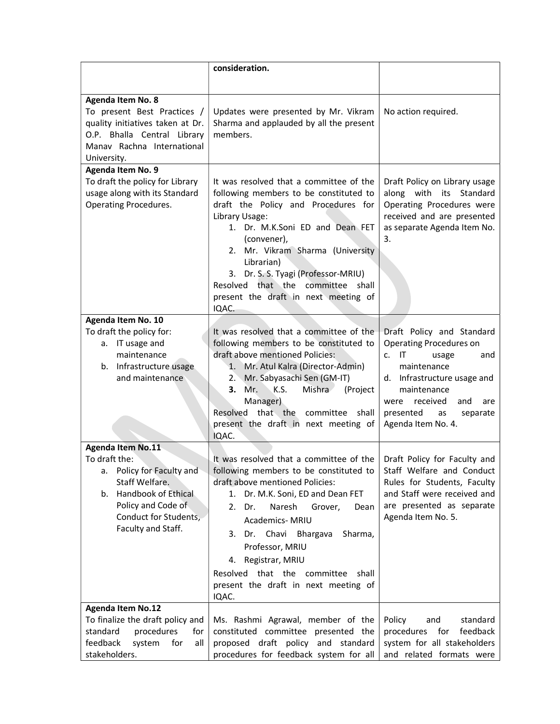|                                                                                                                                                                                                   | consideration.                                                                                                                                                                                                                                                                                                                                                                                 |                                                                                                                                                                                                                                     |
|---------------------------------------------------------------------------------------------------------------------------------------------------------------------------------------------------|------------------------------------------------------------------------------------------------------------------------------------------------------------------------------------------------------------------------------------------------------------------------------------------------------------------------------------------------------------------------------------------------|-------------------------------------------------------------------------------------------------------------------------------------------------------------------------------------------------------------------------------------|
| Agenda Item No. 8<br>To present Best Practices /<br>quality initiatives taken at Dr.<br>O.P. Bhalla Central Library<br>Manav Rachna International<br>University.                                  | Updates were presented by Mr. Vikram<br>Sharma and applauded by all the present<br>members.                                                                                                                                                                                                                                                                                                    | No action required.                                                                                                                                                                                                                 |
| Agenda Item No. 9<br>To draft the policy for Library<br>usage along with its Standard<br><b>Operating Procedures.</b>                                                                             | It was resolved that a committee of the<br>following members to be constituted to<br>draft the Policy and Procedures for<br>Library Usage:<br>1. Dr. M.K.Soni ED and Dean FET<br>(convener),<br>2. Mr. Vikram Sharma (University<br>Librarian)<br>3. Dr. S. S. Tyagi (Professor-MRIU)<br>Resolved that the committee shall<br>present the draft in next meeting of<br>IQAC.                    | Draft Policy on Library usage<br>along with its<br>Standard<br>Operating Procedures were<br>received and are presented<br>as separate Agenda Item No.<br>3.                                                                         |
| Agenda Item No. 10<br>To draft the policy for:<br>a. IT usage and<br>maintenance<br>b. Infrastructure usage<br>and maintenance                                                                    | It was resolved that a committee of the<br>following members to be constituted to<br>draft above mentioned Policies:<br>1. Mr. Atul Kalra (Director-Admin)<br>2. Mr. Sabyasachi Sen (GM-IT)<br>Mr.<br>K.S.<br>Mishra<br>(Project<br>3.<br>Manager)<br>Resolved that the<br>committee shall<br>present the draft in next meeting of<br>IQAC.                                                    | Draft Policy and Standard<br>Operating Procedures on<br>$c.$ IT<br>usage<br>and<br>maintenance<br>d. Infrastructure usage and<br>maintenance<br>received<br>and<br>were<br>are<br>presented<br>as<br>separate<br>Agenda Item No. 4. |
| <b>Agenda Item No.11</b><br>To draft the:<br>a. Policy for Faculty and<br>Staff Welfare.<br><b>Handbook of Ethical</b><br>b.<br>Policy and Code of<br>Conduct for Students,<br>Faculty and Staff. | It was resolved that a committee of the<br>following members to be constituted to<br>draft above mentioned Policies:<br>Dr. M.K. Soni, ED and Dean FET<br>1.<br>Naresh<br>2. Dr.<br>Grover,<br>Dean<br>Academics-MRIU<br>3. Dr. Chavi<br>Bhargava<br>Sharma,<br>Professor, MRIU<br>4. Registrar, MRIU<br>Resolved that the committee<br>shall<br>present the draft in next meeting of<br>IQAC. | Draft Policy for Faculty and<br>Staff Welfare and Conduct<br>Rules for Students, Faculty<br>and Staff were received and<br>are presented as separate<br>Agenda Item No. 5.                                                          |
| <b>Agenda Item No.12</b><br>To finalize the draft policy and<br>standard<br>procedures<br>for<br>feedback<br>system<br>for<br>all<br>stakeholders.                                                | Ms. Rashmi Agrawal, member of the<br>constituted committee presented the<br>proposed draft policy and standard<br>procedures for feedback system for all                                                                                                                                                                                                                                       | Policy<br>standard<br>and<br>procedures for<br>feedback<br>system for all stakeholders<br>and related formats were                                                                                                                  |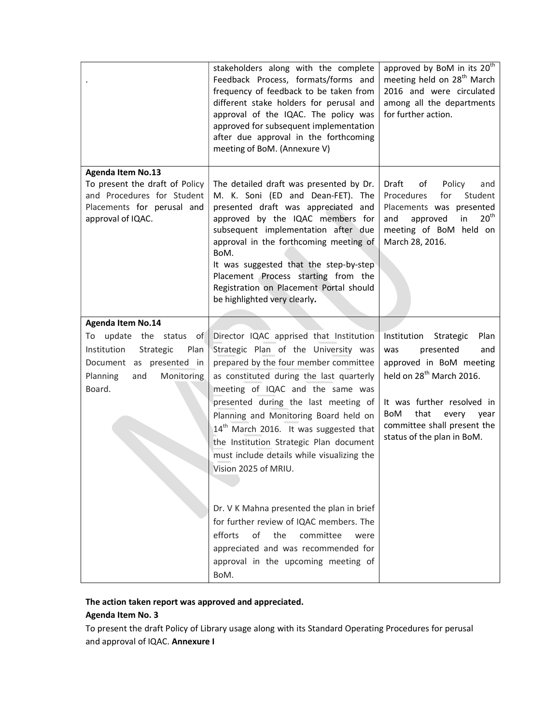|                                                                                                                                             | stakeholders along with the complete<br>Feedback Process, formats/forms and<br>frequency of feedback to be taken from<br>different stake holders for perusal and<br>approval of the IQAC. The policy was<br>approved for subsequent implementation<br>after due approval in the forthcoming<br>meeting of BoM. (Annexure V)                                                                                                                            | approved by BoM in its 20 <sup>th</sup><br>meeting held on 28 <sup>th</sup> March<br>2016 and were circulated<br>among all the departments<br>for further action.                                                                                      |
|---------------------------------------------------------------------------------------------------------------------------------------------|--------------------------------------------------------------------------------------------------------------------------------------------------------------------------------------------------------------------------------------------------------------------------------------------------------------------------------------------------------------------------------------------------------------------------------------------------------|--------------------------------------------------------------------------------------------------------------------------------------------------------------------------------------------------------------------------------------------------------|
| <b>Agenda Item No.13</b><br>To present the draft of Policy<br>and Procedures for Student<br>Placements for perusal and<br>approval of IQAC. | The detailed draft was presented by Dr.<br>M. K. Soni (ED and Dean-FET). The<br>presented draft was appreciated and<br>approved by the IQAC members for<br>subsequent implementation after due<br>approval in the forthcoming meeting of<br>BoM.<br>It was suggested that the step-by-step<br>Placement Process starting from the<br>Registration on Placement Portal should<br>be highlighted very clearly.                                           | Draft<br>Policy<br>of<br>and<br>Procedures<br>Student<br>for<br>Placements was presented<br>20 <sup>th</sup><br>approved<br>in<br>and<br>meeting of BoM held on<br>March 28, 2016.                                                                     |
| <b>Agenda Item No.14</b>                                                                                                                    |                                                                                                                                                                                                                                                                                                                                                                                                                                                        |                                                                                                                                                                                                                                                        |
| To update the status<br>of<br>Institution<br>Strategic<br>Plan<br>Document as presented in<br>Planning<br>Monitoring<br>and<br>Board.       | Director IQAC apprised that Institution<br>Strategic Plan of the University was<br>prepared by the four member committee<br>as constituted during the last quarterly<br>meeting of IQAC and the same was<br>presented during the last meeting of<br>Planning and Monitoring Board held on<br>$14th$ March 2016. It was suggested that<br>the Institution Strategic Plan document<br>must include details while visualizing the<br>Vision 2025 of MRIU. | Plan<br>Institution Strategic<br>presented<br>and<br>was<br>approved in BoM meeting<br>held on 28 <sup>th</sup> March 2016.<br>It was further resolved in<br>BoM<br>that<br>every<br>year<br>committee shall present the<br>status of the plan in BoM. |
|                                                                                                                                             | Dr. V K Mahna presented the plan in brief<br>for further review of IQAC members. The<br>of<br>efforts<br>the<br>committee<br>were<br>appreciated and was recommended for<br>approval in the upcoming meeting of<br>BoM.                                                                                                                                                                                                                                |                                                                                                                                                                                                                                                        |

## The action taken report was approved and appreciated.

# Agenda Item No. 3

To present the draft Policy of Library usage along with its Standard Operating Procedures for perusal and approval of IQAC. Annexure I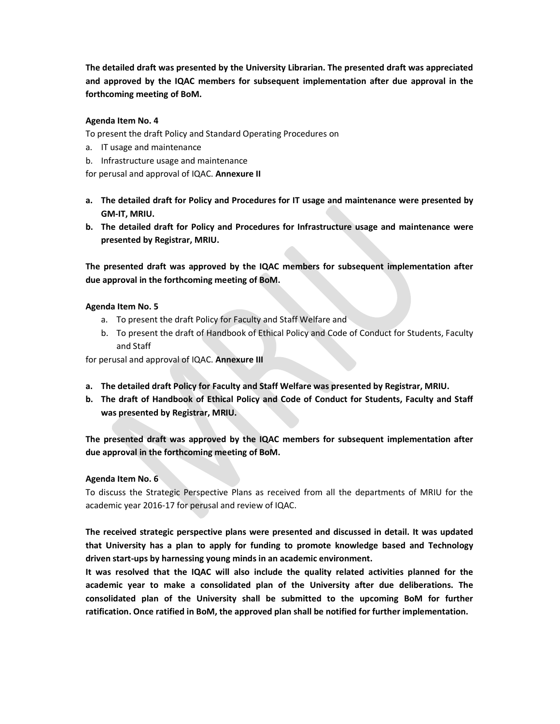The detailed draft was presented by the University Librarian. The presented draft was appreciated and approved by the IQAC members for subsequent implementation after due approval in the forthcoming meeting of BoM.

## Agenda Item No. 4

To present the draft Policy and Standard Operating Procedures on

- a. IT usage and maintenance
- b. Infrastructure usage and maintenance

for perusal and approval of IQAC. Annexure II

- a. The detailed draft for Policy and Procedures for IT usage and maintenance were presented by GM-IT, MRIU.
- b. The detailed draft for Policy and Procedures for Infrastructure usage and maintenance were presented by Registrar, MRIU.

The presented draft was approved by the IQAC members for subsequent implementation after due approval in the forthcoming meeting of BoM.

## Agenda Item No. 5

- a. To present the draft Policy for Faculty and Staff Welfare and
- b. To present the draft of Handbook of Ethical Policy and Code of Conduct for Students, Faculty and Staff

for perusal and approval of IQAC. Annexure III

- a. The detailed draft Policy for Faculty and Staff Welfare was presented by Registrar, MRIU.
- b. The draft of Handbook of Ethical Policy and Code of Conduct for Students, Faculty and Staff was presented by Registrar, MRIU.

The presented draft was approved by the IQAC members for subsequent implementation after due approval in the forthcoming meeting of BoM.

## Agenda Item No. 6

To discuss the Strategic Perspective Plans as received from all the departments of MRIU for the academic year 2016-17 for perusal and review of IQAC.

The received strategic perspective plans were presented and discussed in detail. It was updated that University has a plan to apply for funding to promote knowledge based and Technology driven start-ups by harnessing young minds in an academic environment.

It was resolved that the IQAC will also include the quality related activities planned for the academic year to make a consolidated plan of the University after due deliberations. The consolidated plan of the University shall be submitted to the upcoming BoM for further ratification. Once ratified in BoM, the approved plan shall be notified for further implementation.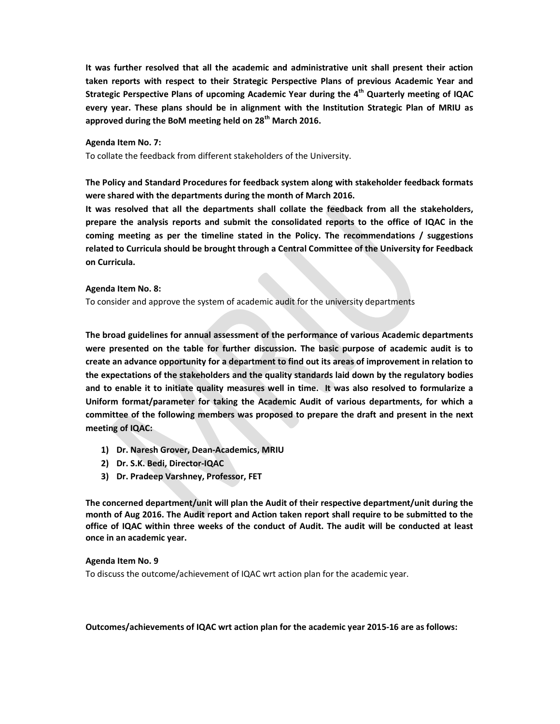It was further resolved that all the academic and administrative unit shall present their action taken reports with respect to their Strategic Perspective Plans of previous Academic Year and Strategic Perspective Plans of upcoming Academic Year during the  $4<sup>th</sup>$  Quarterly meeting of IQAC every year. These plans should be in alignment with the Institution Strategic Plan of MRIU as approved during the BoM meeting held on  $28<sup>th</sup>$  March 2016.

### Agenda Item No. 7:

To collate the feedback from different stakeholders of the University.

The Policy and Standard Procedures for feedback system along with stakeholder feedback formats were shared with the departments during the month of March 2016.

It was resolved that all the departments shall collate the feedback from all the stakeholders, prepare the analysis reports and submit the consolidated reports to the office of IQAC in the coming meeting as per the timeline stated in the Policy. The recommendations / suggestions related to Curricula should be brought through a Central Committee of the University for Feedback on Curricula.

#### Agenda Item No. 8:

To consider and approve the system of academic audit for the university departments

The broad guidelines for annual assessment of the performance of various Academic departments were presented on the table for further discussion. The basic purpose of academic audit is to create an advance opportunity for a department to find out its areas of improvement in relation to the expectations of the stakeholders and the quality standards laid down by the regulatory bodies and to enable it to initiate quality measures well in time. It was also resolved to formularize a Uniform format/parameter for taking the Academic Audit of various departments, for which a committee of the following members was proposed to prepare the draft and present in the next meeting of IQAC:

- 1) Dr. Naresh Grover, Dean-Academics, MRIU
- 2) Dr. S.K. Bedi, Director-IQAC
- 3) Dr. Pradeep Varshney, Professor, FET

The concerned department/unit will plan the Audit of their respective department/unit during the month of Aug 2016. The Audit report and Action taken report shall require to be submitted to the office of IQAC within three weeks of the conduct of Audit. The audit will be conducted at least once in an academic year.

## Agenda Item No. 9

To discuss the outcome/achievement of IQAC wrt action plan for the academic year.

Outcomes/achievements of IQAC wrt action plan for the academic year 2015-16 are as follows: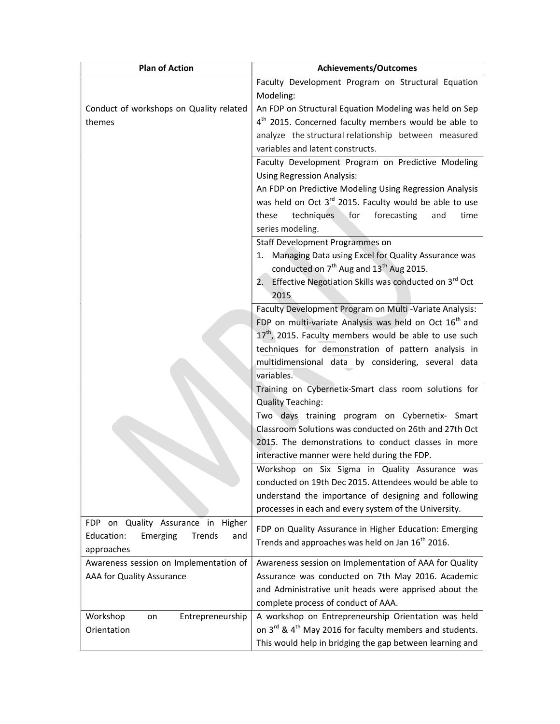| <b>Plan of Action</b>                                                        | Achievements/Outcomes                                                           |  |
|------------------------------------------------------------------------------|---------------------------------------------------------------------------------|--|
|                                                                              | Faculty Development Program on Structural Equation                              |  |
|                                                                              | Modeling:                                                                       |  |
| Conduct of workshops on Quality related                                      | An FDP on Structural Equation Modeling was held on Sep                          |  |
| themes                                                                       | 4 <sup>th</sup> 2015. Concerned faculty members would be able to                |  |
|                                                                              | analyze the structural relationship between measured                            |  |
|                                                                              | variables and latent constructs.                                                |  |
|                                                                              | Faculty Development Program on Predictive Modeling                              |  |
|                                                                              | <b>Using Regression Analysis:</b>                                               |  |
|                                                                              | An FDP on Predictive Modeling Using Regression Analysis                         |  |
|                                                                              | was held on Oct 3 <sup>rd</sup> 2015. Faculty would be able to use              |  |
|                                                                              | techniques<br>forecasting<br>these<br>for<br>time<br>and                        |  |
|                                                                              | series modeling.                                                                |  |
|                                                                              | Staff Development Programmes on                                                 |  |
|                                                                              | Managing Data using Excel for Quality Assurance was<br>1.                       |  |
|                                                                              | conducted on 7 <sup>th</sup> Aug and 13 <sup>th</sup> Aug 2015.                 |  |
|                                                                              | Effective Negotiation Skills was conducted on 3rd Oct<br>2.                     |  |
|                                                                              | 2015                                                                            |  |
|                                                                              | Faculty Development Program on Multi -Variate Analysis:                         |  |
|                                                                              | FDP on multi-variate Analysis was held on Oct 16 <sup>th</sup> and              |  |
|                                                                              | $17th$ , 2015. Faculty members would be able to use such                        |  |
|                                                                              | techniques for demonstration of pattern analysis in                             |  |
|                                                                              | multidimensional data by considering, several data                              |  |
|                                                                              | variables.                                                                      |  |
|                                                                              | Training on Cybernetix-Smart class room solutions for                           |  |
|                                                                              | <b>Quality Teaching:</b>                                                        |  |
|                                                                              | Two days training program on Cybernetix- Smart                                  |  |
|                                                                              | Classroom Solutions was conducted on 26th and 27th Oct                          |  |
|                                                                              | 2015. The demonstrations to conduct classes in more                             |  |
|                                                                              | interactive manner were held during the FDP.                                    |  |
|                                                                              | Workshop on Six Sigma in Quality Assurance was                                  |  |
|                                                                              | conducted on 19th Dec 2015. Attendees would be able to                          |  |
|                                                                              | understand the importance of designing and following                            |  |
|                                                                              | processes in each and every system of the University.                           |  |
| on Quality Assurance in<br>Higher<br>FDP<br>Education:<br>Emerging<br>Trends | FDP on Quality Assurance in Higher Education: Emerging                          |  |
| and<br>approaches                                                            | Trends and approaches was held on Jan 16 <sup>th</sup> 2016.                    |  |
| Awareness session on Implementation of                                       | Awareness session on Implementation of AAA for Quality                          |  |
| AAA for Quality Assurance                                                    | Assurance was conducted on 7th May 2016. Academic                               |  |
|                                                                              | and Administrative unit heads were apprised about the                           |  |
|                                                                              | complete process of conduct of AAA.                                             |  |
| Workshop<br>Entrepreneurship<br>on                                           | A workshop on Entrepreneurship Orientation was held                             |  |
| Orientation                                                                  | on 3 <sup>rd</sup> & 4 <sup>th</sup> May 2016 for faculty members and students. |  |
|                                                                              | This would help in bridging the gap between learning and                        |  |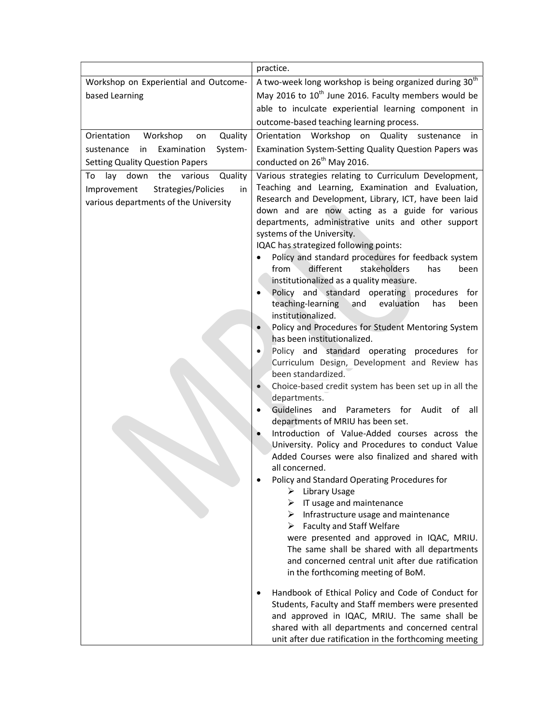|                                                                                   | practice.                                                                                                                                                                                                                                                                                                                                                                                                                                                                                                                                                                                                                                                                                                                                                                                                                                                                                                                                                                                                                                                                                                                 |
|-----------------------------------------------------------------------------------|---------------------------------------------------------------------------------------------------------------------------------------------------------------------------------------------------------------------------------------------------------------------------------------------------------------------------------------------------------------------------------------------------------------------------------------------------------------------------------------------------------------------------------------------------------------------------------------------------------------------------------------------------------------------------------------------------------------------------------------------------------------------------------------------------------------------------------------------------------------------------------------------------------------------------------------------------------------------------------------------------------------------------------------------------------------------------------------------------------------------------|
| Workshop on Experiential and Outcome-                                             | A two-week long workshop is being organized during 30 <sup>th</sup>                                                                                                                                                                                                                                                                                                                                                                                                                                                                                                                                                                                                                                                                                                                                                                                                                                                                                                                                                                                                                                                       |
| based Learning                                                                    | May 2016 to 10 <sup>th</sup> June 2016. Faculty members would be                                                                                                                                                                                                                                                                                                                                                                                                                                                                                                                                                                                                                                                                                                                                                                                                                                                                                                                                                                                                                                                          |
|                                                                                   | able to inculcate experiential learning component in                                                                                                                                                                                                                                                                                                                                                                                                                                                                                                                                                                                                                                                                                                                                                                                                                                                                                                                                                                                                                                                                      |
|                                                                                   | outcome-based teaching learning process.                                                                                                                                                                                                                                                                                                                                                                                                                                                                                                                                                                                                                                                                                                                                                                                                                                                                                                                                                                                                                                                                                  |
| Orientation<br>Workshop<br>Quality<br>on                                          | Orientation Workshop on<br>Quality sustenance<br>in.                                                                                                                                                                                                                                                                                                                                                                                                                                                                                                                                                                                                                                                                                                                                                                                                                                                                                                                                                                                                                                                                      |
| Examination<br>System-<br>sustenance<br>in                                        | Examination System-Setting Quality Question Papers was                                                                                                                                                                                                                                                                                                                                                                                                                                                                                                                                                                                                                                                                                                                                                                                                                                                                                                                                                                                                                                                                    |
| <b>Setting Quality Question Papers</b>                                            | conducted on 26 <sup>th</sup> May 2016.                                                                                                                                                                                                                                                                                                                                                                                                                                                                                                                                                                                                                                                                                                                                                                                                                                                                                                                                                                                                                                                                                   |
| Quality<br>lay down<br>the<br>To<br>various                                       | Various strategies relating to Curriculum Development,                                                                                                                                                                                                                                                                                                                                                                                                                                                                                                                                                                                                                                                                                                                                                                                                                                                                                                                                                                                                                                                                    |
| Strategies/Policies<br>Improvement<br>in<br>various departments of the University | Teaching and Learning, Examination and Evaluation,<br>Research and Development, Library, ICT, have been laid<br>down and are now acting as a guide for various<br>departments, administrative units and other support<br>systems of the University.<br>IQAC has strategized following points:<br>Policy and standard procedures for feedback system<br>different<br>stakeholders<br>from<br>has<br>been<br>institutionalized as a quality measure.<br>Policy and standard operating procedures for<br>teaching-learning<br>and<br>evaluation<br>has<br>been<br>institutionalized.<br>Policy and Procedures for Student Mentoring System<br>has been institutionalized.<br>Policy and standard operating procedures for<br>Curriculum Design, Development and Review has<br>been standardized.<br>Choice-based credit system has been set up in all the<br>departments.<br>Guidelines and Parameters for Audit of<br>all<br>departments of MRIU has been set.<br>Introduction of Value-Added courses across the<br>University. Policy and Procedures to conduct Value<br>Added Courses were also finalized and shared with |
|                                                                                   | all concerned.<br>Policy and Standard Operating Procedures for<br>$\triangleright$ Library Usage<br>$\triangleright$ IT usage and maintenance<br>$\triangleright$ Infrastructure usage and maintenance<br>$\triangleright$ Faculty and Staff Welfare<br>were presented and approved in IQAC, MRIU.<br>The same shall be shared with all departments<br>and concerned central unit after due ratification<br>in the forthcoming meeting of BoM.                                                                                                                                                                                                                                                                                                                                                                                                                                                                                                                                                                                                                                                                            |
|                                                                                   | Handbook of Ethical Policy and Code of Conduct for<br>Students, Faculty and Staff members were presented<br>and approved in IQAC, MRIU. The same shall be<br>shared with all departments and concerned central<br>unit after due ratification in the forthcoming meeting                                                                                                                                                                                                                                                                                                                                                                                                                                                                                                                                                                                                                                                                                                                                                                                                                                                  |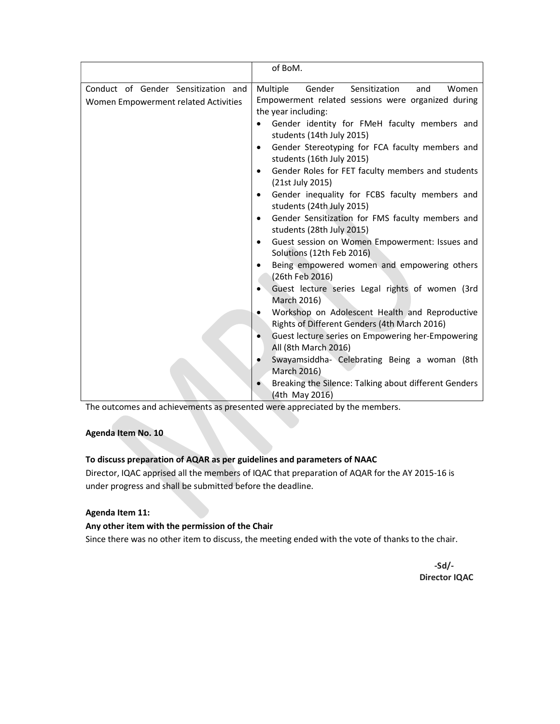|                                                                             | of BoM.                                                                                                                                                                                                                                                                                                                                                                                                                                                                                                                                                                                                                                                                                                                                                                                                                                                                                                                                                                   |
|-----------------------------------------------------------------------------|---------------------------------------------------------------------------------------------------------------------------------------------------------------------------------------------------------------------------------------------------------------------------------------------------------------------------------------------------------------------------------------------------------------------------------------------------------------------------------------------------------------------------------------------------------------------------------------------------------------------------------------------------------------------------------------------------------------------------------------------------------------------------------------------------------------------------------------------------------------------------------------------------------------------------------------------------------------------------|
| Conduct of Gender Sensitization and<br>Women Empowerment related Activities | Multiple<br>Gender<br>Sensitization<br>Women<br>and<br>Empowerment related sessions were organized during<br>the year including:<br>Gender identity for FMeH faculty members and<br>students (14th July 2015)<br>Gender Stereotyping for FCA faculty members and<br>students (16th July 2015)<br>Gender Roles for FET faculty members and students<br>$\bullet$<br>(21st July 2015)<br>Gender inequality for FCBS faculty members and<br>$\bullet$<br>students (24th July 2015)<br>Gender Sensitization for FMS faculty members and<br>$\bullet$<br>students (28th July 2015)<br>Guest session on Women Empowerment: Issues and<br>$\bullet$<br>Solutions (12th Feb 2016)<br>Being empowered women and empowering others<br>(26th Feb 2016)<br>Guest lecture series Legal rights of women (3rd<br>March 2016)<br>Workshop on Adolescent Health and Reproductive<br>Rights of Different Genders (4th March 2016)<br>Guest lecture series on Empowering her-Empowering<br>٠ |
|                                                                             | All (8th March 2016)<br>Swayamsiddha- Celebrating Being a woman (8th<br>March 2016)<br>Breaking the Silence: Talking about different Genders                                                                                                                                                                                                                                                                                                                                                                                                                                                                                                                                                                                                                                                                                                                                                                                                                              |
|                                                                             | (4th May 2016)                                                                                                                                                                                                                                                                                                                                                                                                                                                                                                                                                                                                                                                                                                                                                                                                                                                                                                                                                            |

The outcomes and achievements as presented were appreciated by the members.

## Agenda Item No. 10

## To discuss preparation of AQAR as per guidelines and parameters of NAAC

Director, IQAC apprised all the members of IQAC that preparation of AQAR for the AY 2015-16 is under progress and shall be submitted before the deadline.

## Agenda Item 11:

## Any other item with the permission of the Chair

Since there was no other item to discuss, the meeting ended with the vote of thanks to the chair.

 -Sd/- Director IQAC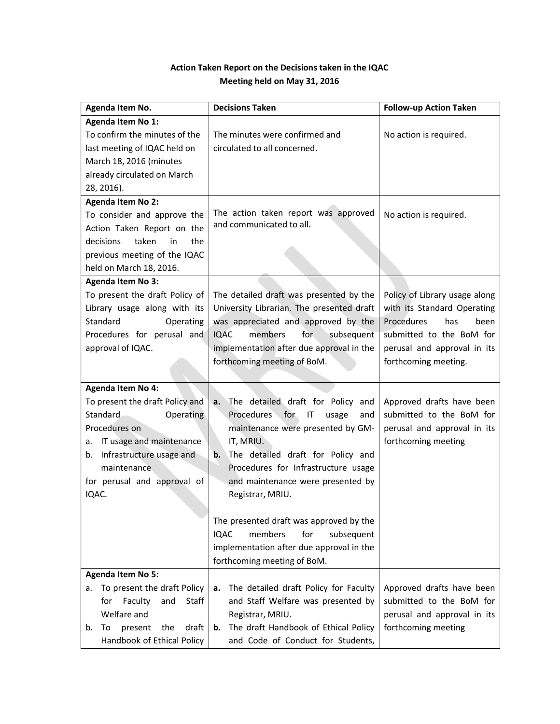# Action Taken Report on the Decisions taken in the IQAC Meeting held on May 31, 2016

| Agenda Item No.                                                                                                                                                                                                               | <b>Decisions Taken</b>                                                                                                                                                                                                                                                                                                                                                                                                                            | <b>Follow-up Action Taken</b>                                                                                                                                                |
|-------------------------------------------------------------------------------------------------------------------------------------------------------------------------------------------------------------------------------|---------------------------------------------------------------------------------------------------------------------------------------------------------------------------------------------------------------------------------------------------------------------------------------------------------------------------------------------------------------------------------------------------------------------------------------------------|------------------------------------------------------------------------------------------------------------------------------------------------------------------------------|
| <b>Agenda Item No 1:</b><br>To confirm the minutes of the<br>last meeting of IQAC held on<br>March 18, 2016 (minutes<br>already circulated on March<br>28, 2016).                                                             | The minutes were confirmed and<br>circulated to all concerned.                                                                                                                                                                                                                                                                                                                                                                                    | No action is required.                                                                                                                                                       |
| <b>Agenda Item No 2:</b><br>To consider and approve the<br>Action Taken Report on the<br>taken<br>in<br>the<br>decisions<br>previous meeting of the IQAC<br>held on March 18, 2016.                                           | The action taken report was approved<br>and communicated to all.                                                                                                                                                                                                                                                                                                                                                                                  | No action is required.                                                                                                                                                       |
| <b>Agenda Item No 3:</b><br>To present the draft Policy of<br>Library usage along with its<br>Standard<br>Operating<br>Procedures for perusal and<br>approval of IQAC.                                                        | The detailed draft was presented by the<br>University Librarian. The presented draft<br>was appreciated and approved by the<br><b>IQAC</b><br>members<br>for<br>subsequent<br>implementation after due approval in the<br>forthcoming meeting of BoM.                                                                                                                                                                                             | Policy of Library usage along<br>with its Standard Operating<br>Procedures<br>has<br>been<br>submitted to the BoM for<br>perusal and approval in its<br>forthcoming meeting. |
| <b>Agenda Item No 4:</b><br>To present the draft Policy and<br>Standard<br>Operating<br>Procedures on<br>IT usage and maintenance<br>а.<br>b. Infrastructure usage and<br>maintenance<br>for perusal and approval of<br>IQAC. | The detailed draft for Policy and<br>a.<br>Procedures for<br>ΙT<br>usage<br>and<br>maintenance were presented by GM-<br>IT, MRIU.<br>The detailed draft for Policy and<br>b.<br>Procedures for Infrastructure usage<br>and maintenance were presented by<br>Registrar, MRIU.<br>The presented draft was approved by the<br>for<br><b>IQAC</b><br>members<br>subsequent<br>implementation after due approval in the<br>forthcoming meeting of BoM. | Approved drafts have been<br>submitted to the BoM for<br>perusal and approval in its<br>forthcoming meeting                                                                  |
| <b>Agenda Item No 5:</b><br>To present the draft Policy<br>a.<br>Faculty<br>for<br>and<br>Staff<br>Welfare and<br>draft<br>To<br>present<br>the<br>b.<br>Handbook of Ethical Policy                                           | The detailed draft Policy for Faculty<br>a.<br>and Staff Welfare was presented by<br>Registrar, MRIU.<br>The draft Handbook of Ethical Policy<br>b.<br>and Code of Conduct for Students,                                                                                                                                                                                                                                                          | Approved drafts have been<br>submitted to the BoM for<br>perusal and approval in its<br>forthcoming meeting                                                                  |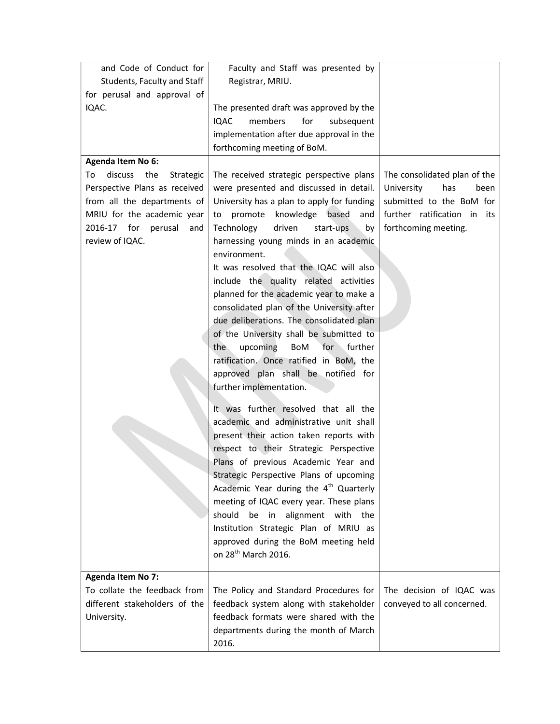| and Code of Conduct for           | Faculty and Staff was presented by                 |                              |
|-----------------------------------|----------------------------------------------------|------------------------------|
| Students, Faculty and Staff       | Registrar, MRIU.                                   |                              |
| for perusal and approval of       |                                                    |                              |
| IQAC.                             | The presented draft was approved by the            |                              |
|                                   | <b>IQAC</b><br>members<br>for<br>subsequent        |                              |
|                                   | implementation after due approval in the           |                              |
|                                   | forthcoming meeting of BoM.                        |                              |
| Agenda Item No 6:                 |                                                    |                              |
| discuss<br>the<br>To<br>Strategic | The received strategic perspective plans           | The consolidated plan of the |
| Perspective Plans as received     | were presented and discussed in detail.            | University<br>has<br>been    |
| from all the departments of       | University has a plan to apply for funding         | submitted to the BoM for     |
| MRIU for the academic year        | knowledge based<br>promote<br>and<br>to            | further ratification in its  |
| 2016-17 for<br>perusal<br>and     | Technology<br>driven<br>start-ups<br>by            | forthcoming meeting.         |
| review of IQAC.                   | harnessing young minds in an academic              |                              |
|                                   | environment.                                       |                              |
|                                   | It was resolved that the IQAC will also            |                              |
|                                   | include the quality related activities             |                              |
|                                   | planned for the academic year to make a            |                              |
|                                   | consolidated plan of the University after          |                              |
|                                   | due deliberations. The consolidated plan           |                              |
|                                   | of the University shall be submitted to            |                              |
|                                   | for<br>further<br>upcoming<br>BoM<br>the           |                              |
|                                   | ratification. Once ratified in BoM, the            |                              |
|                                   | approved plan shall be notified for                |                              |
|                                   | further implementation.                            |                              |
|                                   |                                                    |                              |
|                                   | It was further resolved that all the               |                              |
|                                   | academic and administrative unit shall             |                              |
|                                   | present their action taken reports with            |                              |
|                                   | respect to their Strategic Perspective             |                              |
|                                   | Plans of previous Academic Year and                |                              |
|                                   | Strategic Perspective Plans of upcoming            |                              |
|                                   | Academic Year during the 4 <sup>th</sup> Quarterly |                              |
|                                   | meeting of IQAC every year. These plans            |                              |
|                                   | alignment with the<br>should be in                 |                              |
|                                   | Institution Strategic Plan of MRIU as              |                              |
|                                   | approved during the BoM meeting held               |                              |
|                                   | on 28 <sup>th</sup> March 2016.                    |                              |
|                                   |                                                    |                              |
| <b>Agenda Item No 7:</b>          |                                                    |                              |
| To collate the feedback from      | The Policy and Standard Procedures for             | The decision of IQAC was     |
| different stakeholders of the     | feedback system along with stakeholder             | conveyed to all concerned.   |
| University.                       | feedback formats were shared with the              |                              |
|                                   | departments during the month of March              |                              |
|                                   | 2016.                                              |                              |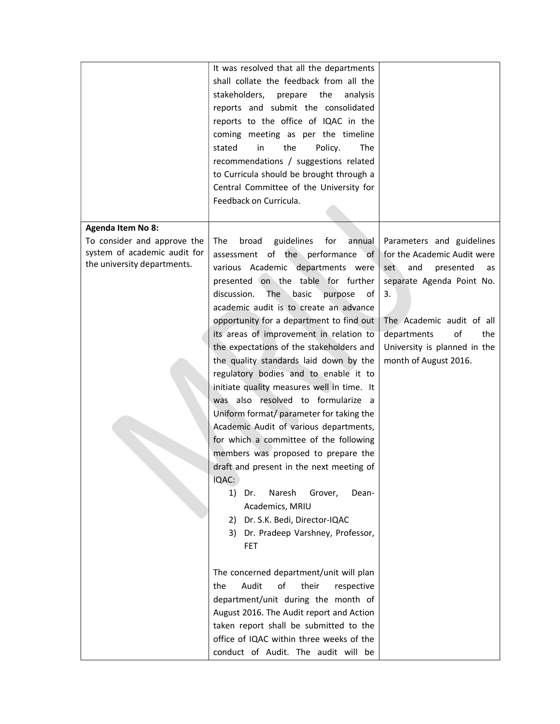|                                                                                            | It was resolved that all the departments<br>shall collate the feedback from all the<br>stakeholders,<br>prepare<br>the<br>analysis<br>reports and submit the consolidated<br>reports to the office of IQAC in the<br>coming meeting as per the timeline<br>the<br>in<br>Policy.<br><b>The</b><br>stated<br>recommendations / suggestions related                                                                                                                                                                                                                                                                                                                                                                                                                                                                                                                                                                                                          |                                                                                                                                                                                                                                                |
|--------------------------------------------------------------------------------------------|-----------------------------------------------------------------------------------------------------------------------------------------------------------------------------------------------------------------------------------------------------------------------------------------------------------------------------------------------------------------------------------------------------------------------------------------------------------------------------------------------------------------------------------------------------------------------------------------------------------------------------------------------------------------------------------------------------------------------------------------------------------------------------------------------------------------------------------------------------------------------------------------------------------------------------------------------------------|------------------------------------------------------------------------------------------------------------------------------------------------------------------------------------------------------------------------------------------------|
|                                                                                            | to Curricula should be brought through a<br>Central Committee of the University for<br>Feedback on Curricula.                                                                                                                                                                                                                                                                                                                                                                                                                                                                                                                                                                                                                                                                                                                                                                                                                                             |                                                                                                                                                                                                                                                |
| <b>Agenda Item No 8:</b>                                                                   |                                                                                                                                                                                                                                                                                                                                                                                                                                                                                                                                                                                                                                                                                                                                                                                                                                                                                                                                                           |                                                                                                                                                                                                                                                |
| To consider and approve the<br>system of academic audit for<br>the university departments. | guidelines<br>for<br>The<br>broad<br>annual<br>assessment of the performance<br>of<br>various Academic departments were<br>presented on the table for further<br>discussion.<br>basic<br>The<br>purpose<br>of<br>academic audit is to create an advance<br>opportunity for a department to find out<br>its areas of improvement in relation to<br>the expectations of the stakeholders and<br>the quality standards laid down by the<br>regulatory bodies and to enable it to<br>initiate quality measures well in time. It<br>was also resolved to formularize a<br>Uniform format/ parameter for taking the<br>Academic Audit of various departments,<br>for which a committee of the following<br>members was proposed to prepare the<br>draft and present in the next meeting of<br>IQAC:<br>Naresh<br>1)<br>Grover,<br>Dr.<br>Dean-<br>Academics, MRIU<br>Dr. S.K. Bedi, Director-IQAC<br>2)<br>Dr. Pradeep Varshney, Professor,<br>3)<br><b>FET</b> | Parameters and guidelines<br>for the Academic Audit were<br>and<br>presented<br>set<br>as<br>separate Agenda Point No.<br>3.<br>The Academic audit of all<br>of<br>departments<br>the<br>University is planned in the<br>month of August 2016. |
|                                                                                            | The concerned department/unit will plan<br>Audit<br>of<br>their<br>the<br>respective<br>department/unit during the month of<br>August 2016. The Audit report and Action<br>taken report shall be submitted to the<br>office of IQAC within three weeks of the<br>conduct of Audit. The audit will be                                                                                                                                                                                                                                                                                                                                                                                                                                                                                                                                                                                                                                                      |                                                                                                                                                                                                                                                |